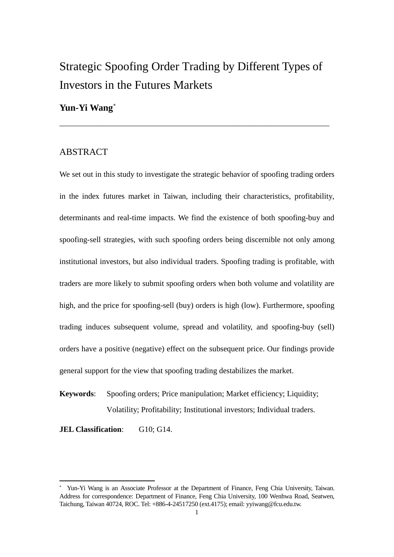# Strategic Spoofing Order Trading by Different Types of Investors in the Futures Markets

\_\_\_\_\_\_\_\_\_\_\_\_\_\_\_\_\_\_\_\_\_\_\_\_\_\_\_\_\_\_\_\_\_\_\_\_\_\_\_\_\_\_\_\_\_\_\_\_\_\_\_\_\_\_\_\_\_\_\_\_\_\_\_\_\_\_\_\_

## **Yun-Yi Wang**[∗](#page-0-0)

## ABSTRACT

We set out in this study to investigate the strategic behavior of spoofing trading orders in the index futures market in Taiwan, including their characteristics, profitability, determinants and real-time impacts. We find the existence of both spoofing-buy and spoofing-sell strategies, with such spoofing orders being discernible not only among institutional investors, but also individual traders. Spoofing trading is profitable, with traders are more likely to submit spoofing orders when both volume and volatility are high, and the price for spoofing-sell (buy) orders is high (low). Furthermore, spoofing trading induces subsequent volume, spread and volatility, and spoofing-buy (sell) orders have a positive (negative) effect on the subsequent price. Our findings provide general support for the view that spoofing trading destabilizes the market.

**Keywords**: Spoofing orders; Price manipulation; Market efficiency; Liquidity; Volatility; Profitability; Institutional investors; Individual traders.

**JEL Classification:** G10; G14.

<span id="page-0-0"></span><sup>∗</sup> Yun-Yi Wang is an Associate Professor at the Department of Finance, Feng Chia University, Taiwan. Address for correspondence: Department of Finance, Feng Chia University, 100 Wenhwa Road, Seatwen, Taichung, Taiwan 40724, ROC. Tel: +886-4-24517250 (ext.4175); email: yyiwang@fcu.edu.tw.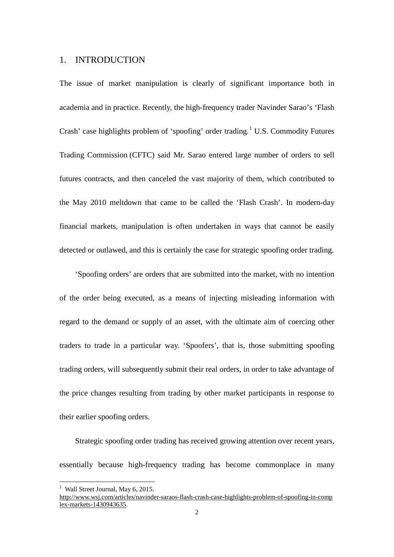## 1. INTRODUCTION

The issue of market manipulation is clearly of significant importance both in academia and in practice. Recently, the high-frequency trader Navinder Sarao's 'Flash Crash' case highlights problem of 'spoofing' order trading. [1](#page-1-0) U.S. Commodity Futures Trading Commission (CFTC) said Mr. Sarao entered large number of orders to sell futures contracts, and then canceled the vast majority of them, which contributed to the May 2010 meltdown that came to be called the 'Flash Crash'. In modern-day financial markets, manipulation is often undertaken in ways that cannot be easily detected or outlawed, and this is certainly the case for strategic spoofing order trading.

'Spoofing orders' are orders that are submitted into the market, with no intention of the order being executed, as a means of injecting misleading information with regard to the demand or supply of an asset, with the ultimate aim of coercing other traders to trade in a particular way. 'Spoofers', that is, those submitting spoofing trading orders, will subsequently submit their real orders, in order to take advantage of the price changes resulting from trading by other market participants in response to their earlier spoofing orders.

Strategic spoofing order trading has received growing attention over recent years, essentially because high-frequency trading has become commonplace in many

<sup>&</sup>lt;sup>1</sup> Wall Street Journal, May 6, 2015.

<span id="page-1-0"></span>[http://www.wsj.com/articles/navinder-saraos-flash-crash-case-highlights-problem-of-spoofing-in-comp](http://www.wsj.com/articles/navinder-saraos-flash-crash-case-highlights-problem-of-spoofing-in-complex-markets-1430943635) [lex-markets-1430943635.](http://www.wsj.com/articles/navinder-saraos-flash-crash-case-highlights-problem-of-spoofing-in-complex-markets-1430943635)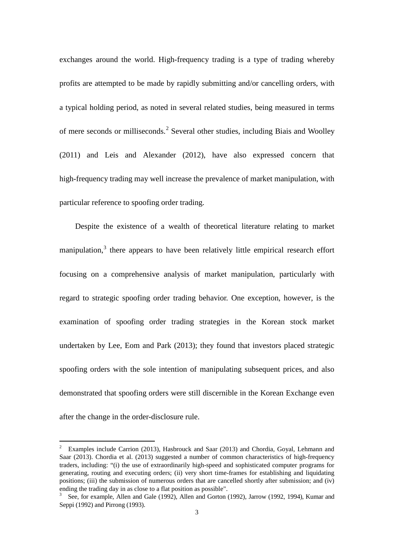exchanges around the world. High-frequency trading is a type of trading whereby profits are attempted to be made by rapidly submitting and/or cancelling orders, with a typical holding period, as noted in several related studies, being measured in terms of mere seconds or milliseconds.[2](#page-2-0) Several other studies, including Biais and Woolley (2011) and Leis and Alexander (2012), have also expressed concern that high-frequency trading may well increase the prevalence of market manipulation, with particular reference to spoofing order trading.

Despite the existence of a wealth of theoretical literature relating to market manipulation, $3$  there appears to have been relatively little empirical research effort focusing on a comprehensive analysis of market manipulation, particularly with regard to strategic spoofing order trading behavior. One exception, however, is the examination of spoofing order trading strategies in the Korean stock market undertaken by Lee, Eom and Park (2013); they found that investors placed strategic spoofing orders with the sole intention of manipulating subsequent prices, and also demonstrated that spoofing orders were still discernible in the Korean Exchange even after the change in the order-disclosure rule.

<span id="page-2-0"></span><sup>&</sup>lt;sup>2</sup> Examples include Carrion (2013), Hasbrouck and Saar (2013) and Chordia, Goyal, Lehmann and Saar (2013). Chordia et al. (2013) suggested a number of common characteristics of high-frequency traders, including: "(i) the use of extraordinarily high-speed and sophisticated computer programs for generating, routing and executing orders; (ii) very short time-frames for establishing and liquidating positions; (iii) the submission of numerous orders that are cancelled shortly after submission; and (iv) ending the trading day in as close to a flat position as possible".

<span id="page-2-1"></span> $3$  See, for example, Allen and Gale (1992), Allen and Gorton (1992), Jarrow (1992, 1994), Kumar and Seppi (1992) and Pirrong (1993).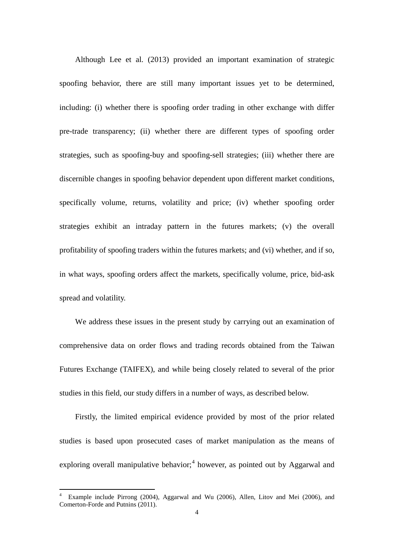Although Lee et al. (2013) provided an important examination of strategic spoofing behavior, there are still many important issues yet to be determined, including: (i) whether there is spoofing order trading in other exchange with differ pre-trade transparency; (ii) whether there are different types of spoofing order strategies, such as spoofing-buy and spoofing-sell strategies; (iii) whether there are discernible changes in spoofing behavior dependent upon different market conditions, specifically volume, returns, volatility and price; (iv) whether spoofing order strategies exhibit an intraday pattern in the futures markets; (v) the overall profitability of spoofing traders within the futures markets; and (vi) whether, and if so, in what ways, spoofing orders affect the markets, specifically volume, price, bid-ask spread and volatility.

We address these issues in the present study by carrying out an examination of comprehensive data on order flows and trading records obtained from the Taiwan Futures Exchange (TAIFEX), and while being closely related to several of the prior studies in this field, our study differs in a number of ways, as described below.

Firstly, the limited empirical evidence provided by most of the prior related studies is based upon prosecuted cases of market manipulation as the means of exploring overall manipulative behavior;<sup>[4](#page-3-0)</sup> however, as pointed out by Aggarwal and

<span id="page-3-0"></span><sup>4</sup> Example include Pirrong (2004), Aggarwal and Wu (2006), Allen, Litov and Mei (2006), and Comerton-Forde and Putnins (2011).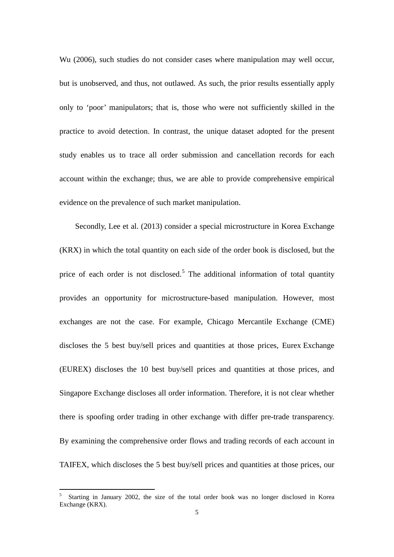Wu (2006), such studies do not consider cases where manipulation may well occur, but is unobserved, and thus, not outlawed. As such, the prior results essentially apply only to 'poor' manipulators; that is, those who were not sufficiently skilled in the practice to avoid detection. In contrast, the unique dataset adopted for the present study enables us to trace all order submission and cancellation records for each account within the exchange; thus, we are able to provide comprehensive empirical evidence on the prevalence of such market manipulation.

Secondly, Lee et al. (2013) consider a special microstructure in Korea Exchange (KRX) in which the total quantity on each side of the order book is disclosed, but the price of each order is not disclosed.<sup>[5](#page-4-0)</sup> The additional information of total quantity provides an opportunity for microstructure-based manipulation. However, most exchanges are not the case. For example, Chicago Mercantile Exchange (CME) discloses the 5 best buy/sell prices and quantities at those prices, Eurex Exchange (EUREX) discloses the 10 best buy/sell prices and quantities at those prices, and Singapore Exchange discloses all order information. Therefore, it is not clear whether there is spoofing order trading in other exchange with differ pre-trade transparency. By examining the comprehensive order flows and trading records of each account in TAIFEX, which discloses the 5 best buy/sell prices and quantities at those prices, our

<span id="page-4-0"></span><sup>5</sup> Starting in January 2002, the size of the total order book was no longer disclosed in Korea Exchange (KRX).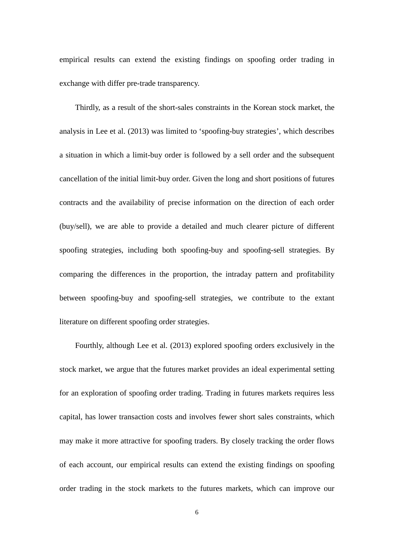empirical results can extend the existing findings on spoofing order trading in exchange with differ pre-trade transparency.

Thirdly, as a result of the short-sales constraints in the Korean stock market, the analysis in Lee et al. (2013) was limited to 'spoofing-buy strategies', which describes a situation in which a limit-buy order is followed by a sell order and the subsequent cancellation of the initial limit-buy order. Given the long and short positions of futures contracts and the availability of precise information on the direction of each order (buy/sell), we are able to provide a detailed and much clearer picture of different spoofing strategies, including both spoofing-buy and spoofing-sell strategies. By comparing the differences in the proportion, the intraday pattern and profitability between spoofing-buy and spoofing-sell strategies, we contribute to the extant literature on different spoofing order strategies.

Fourthly, although Lee et al. (2013) explored spoofing orders exclusively in the stock market, we argue that the futures market provides an ideal experimental setting for an exploration of spoofing order trading. Trading in futures markets requires less capital, has lower transaction costs and involves fewer short sales constraints, which may make it more attractive for spoofing traders. By closely tracking the order flows of each account, our empirical results can extend the existing findings on spoofing order trading in the stock markets to the futures markets, which can improve our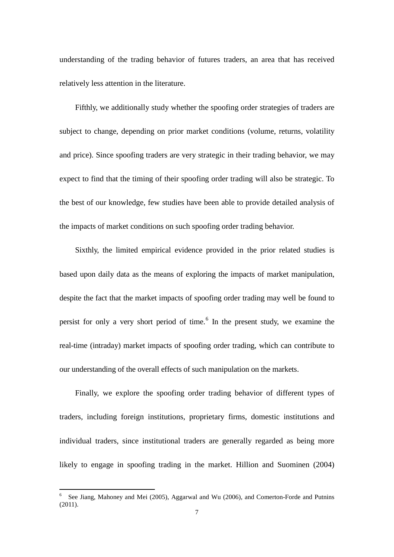understanding of the trading behavior of futures traders, an area that has received relatively less attention in the literature.

Fifthly, we additionally study whether the spoofing order strategies of traders are subject to change, depending on prior market conditions (volume, returns, volatility and price). Since spoofing traders are very strategic in their trading behavior, we may expect to find that the timing of their spoofing order trading will also be strategic. To the best of our knowledge, few studies have been able to provide detailed analysis of the impacts of market conditions on such spoofing order trading behavior.

Sixthly, the limited empirical evidence provided in the prior related studies is based upon daily data as the means of exploring the impacts of market manipulation, despite the fact that the market impacts of spoofing order trading may well be found to persist for only a very short period of time. [6](#page-6-0) In the present study, we examine the real-time (intraday) market impacts of spoofing order trading, which can contribute to our understanding of the overall effects of such manipulation on the markets.

Finally, we explore the spoofing order trading behavior of different types of traders, including foreign institutions, proprietary firms, domestic institutions and individual traders, since institutional traders are generally regarded as being more likely to engage in spoofing trading in the market. Hillion and Suominen (2004)

<span id="page-6-0"></span><sup>6</sup> See Jiang, Mahoney and Mei (2005), Aggarwal and Wu (2006), and Comerton-Forde and Putnins (2011).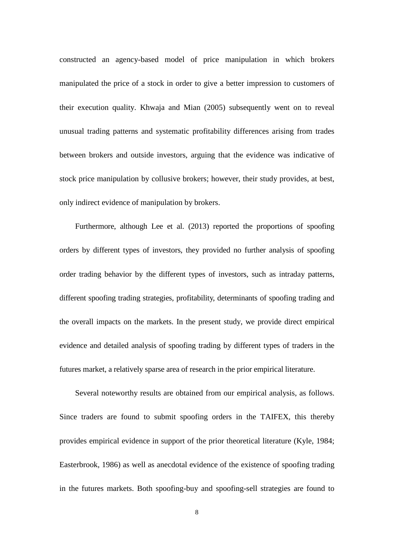constructed an agency-based model of price manipulation in which brokers manipulated the price of a stock in order to give a better impression to customers of their execution quality. Khwaja and Mian (2005) subsequently went on to reveal unusual trading patterns and systematic profitability differences arising from trades between brokers and outside investors, arguing that the evidence was indicative of stock price manipulation by collusive brokers; however, their study provides, at best, only indirect evidence of manipulation by brokers.

Furthermore, although Lee et al. (2013) reported the proportions of spoofing orders by different types of investors, they provided no further analysis of spoofing order trading behavior by the different types of investors, such as intraday patterns, different spoofing trading strategies, profitability, determinants of spoofing trading and the overall impacts on the markets. In the present study, we provide direct empirical evidence and detailed analysis of spoofing trading by different types of traders in the futures market, a relatively sparse area of research in the prior empirical literature.

Several noteworthy results are obtained from our empirical analysis, as follows. Since traders are found to submit spoofing orders in the TAIFEX, this thereby provides empirical evidence in support of the prior theoretical literature (Kyle, 1984; Easterbrook, 1986) as well as anecdotal evidence of the existence of spoofing trading in the futures markets. Both spoofing-buy and spoofing-sell strategies are found to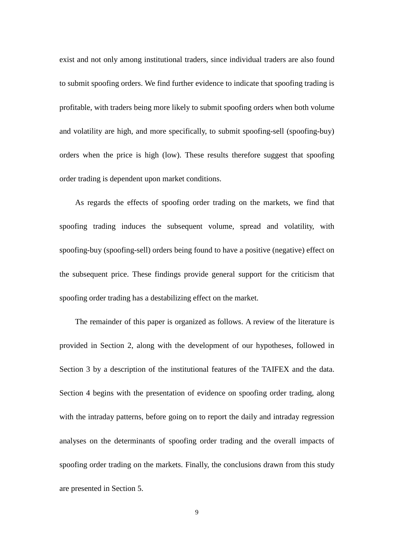exist and not only among institutional traders, since individual traders are also found to submit spoofing orders. We find further evidence to indicate that spoofing trading is profitable, with traders being more likely to submit spoofing orders when both volume and volatility are high, and more specifically, to submit spoofing-sell (spoofing-buy) orders when the price is high (low). These results therefore suggest that spoofing order trading is dependent upon market conditions.

As regards the effects of spoofing order trading on the markets, we find that spoofing trading induces the subsequent volume, spread and volatility, with spoofing-buy (spoofing-sell) orders being found to have a positive (negative) effect on the subsequent price. These findings provide general support for the criticism that spoofing order trading has a destabilizing effect on the market.

The remainder of this paper is organized as follows. A review of the literature is provided in Section 2, along with the development of our hypotheses, followed in Section 3 by a description of the institutional features of the TAIFEX and the data. Section 4 begins with the presentation of evidence on spoofing order trading, along with the intraday patterns, before going on to report the daily and intraday regression analyses on the determinants of spoofing order trading and the overall impacts of spoofing order trading on the markets. Finally, the conclusions drawn from this study are presented in Section 5.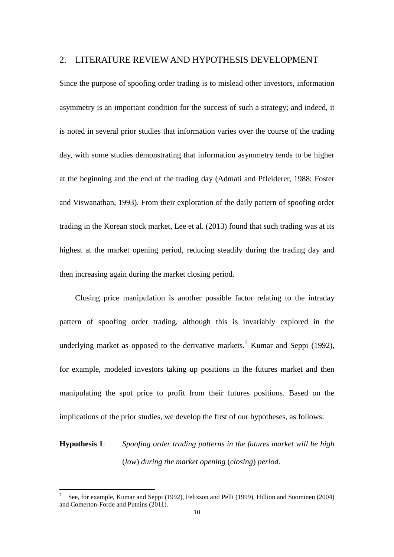#### 2. LITERATURE REVIEW AND HYPOTHESIS DEVELOPMENT

Since the purpose of spoofing order trading is to mislead other investors, information asymmetry is an important condition for the success of such a strategy; and indeed, it is noted in several prior studies that information varies over the course of the trading day, with some studies demonstrating that information asymmetry tends to be higher at the beginning and the end of the trading day (Admati and Pfleiderer, 1988; Foster and Viswanathan, 1993). From their exploration of the daily pattern of spoofing order trading in the Korean stock market, Lee et al. (2013) found that such trading was at its highest at the market opening period, reducing steadily during the trading day and then increasing again during the market closing period.

Closing price manipulation is another possible factor relating to the intraday pattern of spoofing order trading, although this is invariably explored in the underlying market as opposed to the derivative markets.<sup>[7](#page-9-0)</sup> Kumar and Seppi (1992), for example, modeled investors taking up positions in the futures market and then manipulating the spot price to profit from their futures positions. Based on the implications of the prior studies, we develop the first of our hypotheses, as follows:

## **Hypothesis 1**: *Spoofing order trading patterns in the futures market will be high*  (*low*) *during the market opening* (*closing*) *period*.

<span id="page-9-0"></span><sup>7</sup> See, for example, Kumar and Seppi (1992), Felixson and Pelli (1999), Hillion and Suominen (2004) and Comerton-Forde and Putnins (2011).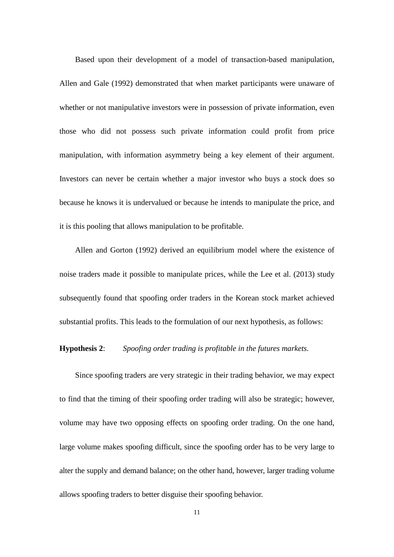Based upon their development of a model of transaction-based manipulation, Allen and Gale (1992) demonstrated that when market participants were unaware of whether or not manipulative investors were in possession of private information, even those who did not possess such private information could profit from price manipulation, with information asymmetry being a key element of their argument. Investors can never be certain whether a major investor who buys a stock does so because he knows it is undervalued or because he intends to manipulate the price, and it is this pooling that allows manipulation to be profitable.

Allen and Gorton (1992) derived an equilibrium model where the existence of noise traders made it possible to manipulate prices, while the Lee et al. (2013) study subsequently found that spoofing order traders in the Korean stock market achieved substantial profits. This leads to the formulation of our next hypothesis, as follows:

#### **Hypothesis 2**: *Spoofing order trading is profitable in the futures markets.*

Since spoofing traders are very strategic in their trading behavior, we may expect to find that the timing of their spoofing order trading will also be strategic; however, volume may have two opposing effects on spoofing order trading. On the one hand, large volume makes spoofing difficult, since the spoofing order has to be very large to alter the supply and demand balance; on the other hand, however, larger trading volume allows spoofing traders to better disguise their spoofing behavior.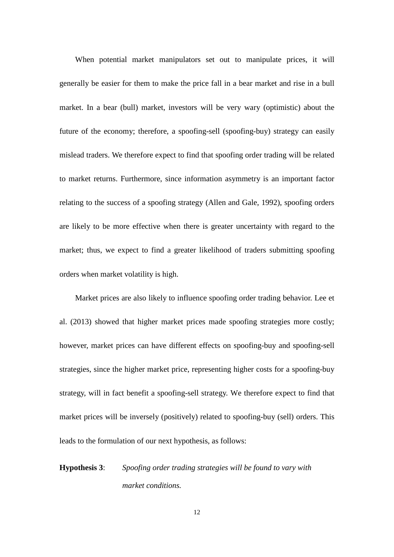When potential market manipulators set out to manipulate prices, it will generally be easier for them to make the price fall in a bear market and rise in a bull market. In a bear (bull) market, investors will be very wary (optimistic) about the future of the economy; therefore, a spoofing-sell (spoofing-buy) strategy can easily mislead traders. We therefore expect to find that spoofing order trading will be related to market returns. Furthermore, since information asymmetry is an important factor relating to the success of a spoofing strategy (Allen and Gale, 1992), spoofing orders are likely to be more effective when there is greater uncertainty with regard to the market; thus, we expect to find a greater likelihood of traders submitting spoofing orders when market volatility is high.

Market prices are also likely to influence spoofing order trading behavior. Lee et al. (2013) showed that higher market prices made spoofing strategies more costly; however, market prices can have different effects on spoofing-buy and spoofing-sell strategies, since the higher market price, representing higher costs for a spoofing-buy strategy, will in fact benefit a spoofing-sell strategy. We therefore expect to find that market prices will be inversely (positively) related to spoofing-buy (sell) orders. This leads to the formulation of our next hypothesis, as follows:

# **Hypothesis 3**: *Spoofing order trading strategies will be found to vary with market conditions.*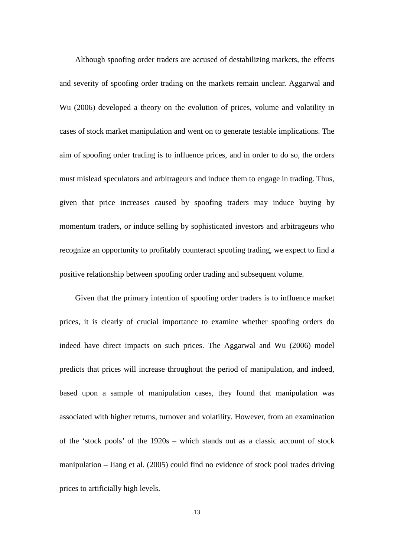Although spoofing order traders are accused of destabilizing markets, the effects and severity of spoofing order trading on the markets remain unclear. Aggarwal and Wu (2006) developed a theory on the evolution of prices, volume and volatility in cases of stock market manipulation and went on to generate testable implications. The aim of spoofing order trading is to influence prices, and in order to do so, the orders must mislead speculators and arbitrageurs and induce them to engage in trading. Thus, given that price increases caused by spoofing traders may induce buying by momentum traders, or induce selling by sophisticated investors and arbitrageurs who recognize an opportunity to profitably counteract spoofing trading, we expect to find a positive relationship between spoofing order trading and subsequent volume.

Given that the primary intention of spoofing order traders is to influence market prices, it is clearly of crucial importance to examine whether spoofing orders do indeed have direct impacts on such prices. The Aggarwal and Wu (2006) model predicts that prices will increase throughout the period of manipulation, and indeed, based upon a sample of manipulation cases, they found that manipulation was associated with higher returns, turnover and volatility. However, from an examination of the 'stock pools' of the 1920s – which stands out as a classic account of stock manipulation – Jiang et al. (2005) could find no evidence of stock pool trades driving prices to artificially high levels.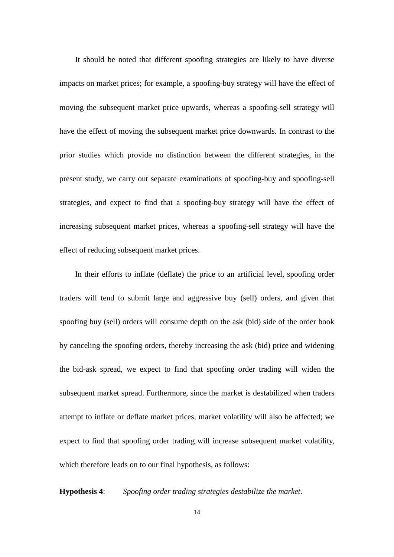It should be noted that different spoofing strategies are likely to have diverse impacts on market prices; for example, a spoofing-buy strategy will have the effect of moving the subsequent market price upwards, whereas a spoofing-sell strategy will have the effect of moving the subsequent market price downwards. In contrast to the prior studies which provide no distinction between the different strategies, in the present study, we carry out separate examinations of spoofing-buy and spoofing-sell strategies, and expect to find that a spoofing-buy strategy will have the effect of increasing subsequent market prices, whereas a spoofing-sell strategy will have the effect of reducing subsequent market prices.

In their efforts to inflate (deflate) the price to an artificial level, spoofing order traders will tend to submit large and aggressive buy (sell) orders, and given that spoofing buy (sell) orders will consume depth on the ask (bid) side of the order book by canceling the spoofing orders, thereby increasing the ask (bid) price and widening the bid-ask spread, we expect to find that spoofing order trading will widen the subsequent market spread. Furthermore, since the market is destabilized when traders attempt to inflate or deflate market prices, market volatility will also be affected; we expect to find that spoofing order trading will increase subsequent market volatility, which therefore leads on to our final hypothesis, as follows:

**Hypothesis 4**: *Spoofing order trading strategies destabilize the market*.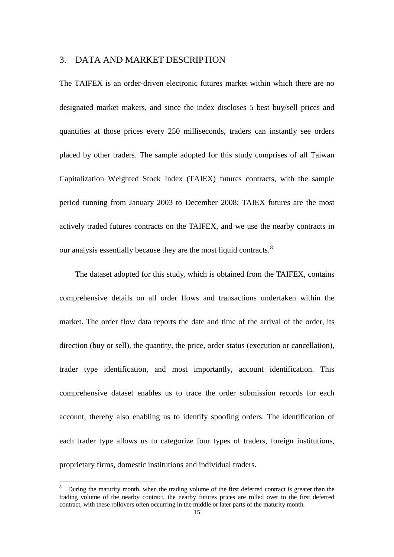#### 3. DATA AND MARKET DESCRIPTION

The TAIFEX is an order-driven electronic futures market within which there are no designated market makers, and since the index discloses 5 best buy/sell prices and quantities at those prices every 250 milliseconds, traders can instantly see orders placed by other traders. The sample adopted for this study comprises of all Taiwan Capitalization Weighted Stock Index (TAIEX) futures contracts, with the sample period running from January 2003 to December 2008; TAIEX futures are the most actively traded futures contracts on the TAIFEX, and we use the nearby contracts in our analysis essentially because they are the most liquid contracts.<sup>[8](#page-14-0)</sup>

The dataset adopted for this study, which is obtained from the TAIFEX, contains comprehensive details on all order flows and transactions undertaken within the market. The order flow data reports the date and time of the arrival of the order, its direction (buy or sell), the quantity, the price, order status (execution or cancellation), trader type identification, and most importantly, account identification. This comprehensive dataset enables us to trace the order submission records for each account, thereby also enabling us to identify spoofing orders. The identification of each trader type allows us to categorize four types of traders, foreign institutions, proprietary firms, domestic institutions and individual traders.

<span id="page-14-0"></span><sup>8</sup> During the maturity month, when the trading volume of the first deferred contract is greater than the trading volume of the nearby contract, the nearby futures prices are rolled over to the first deferred contract, with these rollovers often occurring in the middle or later parts of the maturity month.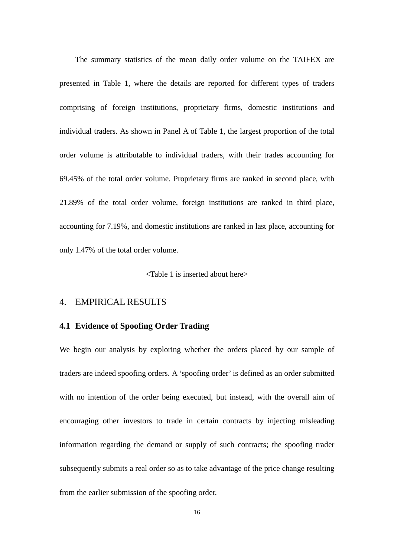The summary statistics of the mean daily order volume on the TAIFEX are presented in Table 1, where the details are reported for different types of traders comprising of foreign institutions, proprietary firms, domestic institutions and individual traders. As shown in Panel A of Table 1, the largest proportion of the total order volume is attributable to individual traders, with their trades accounting for 69.45% of the total order volume. Proprietary firms are ranked in second place, with 21.89% of the total order volume, foreign institutions are ranked in third place, accounting for 7.19%, and domestic institutions are ranked in last place, accounting for only 1.47% of the total order volume.

<Table 1 is inserted about here>

## 4. EMPIRICAL RESULTS

#### **4.1 Evidence of Spoofing Order Trading**

We begin our analysis by exploring whether the orders placed by our sample of traders are indeed spoofing orders. A 'spoofing order' is defined as an order submitted with no intention of the order being executed, but instead, with the overall aim of encouraging other investors to trade in certain contracts by injecting misleading information regarding the demand or supply of such contracts; the spoofing trader subsequently submits a real order so as to take advantage of the price change resulting from the earlier submission of the spoofing order.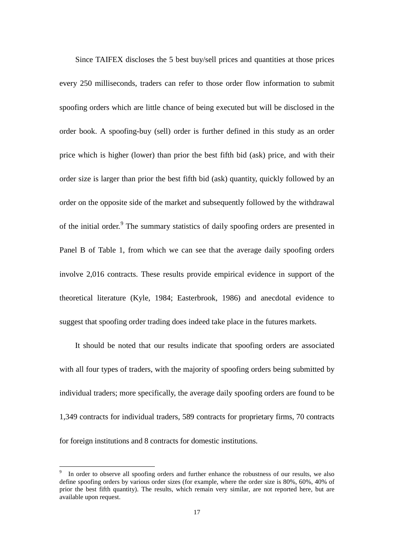Since TAIFEX discloses the 5 best buy/sell prices and quantities at those prices every 250 milliseconds, traders can refer to those order flow information to submit spoofing orders which are little chance of being executed but will be disclosed in the order book. A spoofing-buy (sell) order is further defined in this study as an order price which is higher (lower) than prior the best fifth bid (ask) price, and with their order size is larger than prior the best fifth bid (ask) quantity, quickly followed by an order on the opposite side of the market and subsequently followed by the withdrawal of the initial order.<sup>[9](#page-16-0)</sup> The summary statistics of daily spoofing orders are presented in Panel B of Table 1, from which we can see that the average daily spoofing orders involve 2,016 contracts. These results provide empirical evidence in support of the theoretical literature (Kyle, 1984; Easterbrook, 1986) and anecdotal evidence to suggest that spoofing order trading does indeed take place in the futures markets.

It should be noted that our results indicate that spoofing orders are associated with all four types of traders, with the majority of spoofing orders being submitted by individual traders; more specifically, the average daily spoofing orders are found to be 1,349 contracts for individual traders, 589 contracts for proprietary firms, 70 contracts for foreign institutions and 8 contracts for domestic institutions.

<span id="page-16-0"></span>In order to observe all spoofing orders and further enhance the robustness of our results, we also define spoofing orders by various order sizes (for example, where the order size is 80%, 60%, 40% of prior the best fifth quantity). The results, which remain very similar, are not reported here, but are available upon request.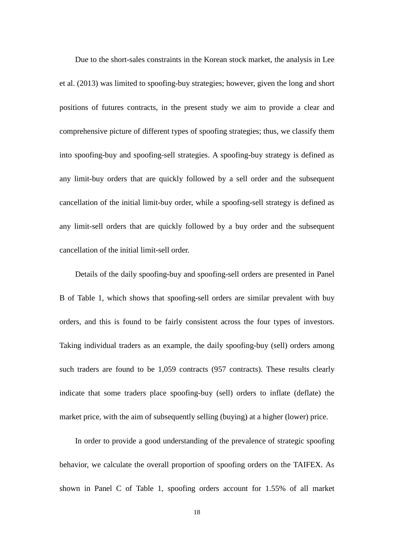Due to the short-sales constraints in the Korean stock market, the analysis in Lee et al. (2013) was limited to spoofing-buy strategies; however, given the long and short positions of futures contracts, in the present study we aim to provide a clear and comprehensive picture of different types of spoofing strategies; thus, we classify them into spoofing-buy and spoofing-sell strategies. A spoofing-buy strategy is defined as any limit-buy orders that are quickly followed by a sell order and the subsequent cancellation of the initial limit-buy order, while a spoofing-sell strategy is defined as any limit-sell orders that are quickly followed by a buy order and the subsequent cancellation of the initial limit-sell order.

Details of the daily spoofing-buy and spoofing-sell orders are presented in Panel B of Table 1, which shows that spoofing-sell orders are similar prevalent with buy orders, and this is found to be fairly consistent across the four types of investors. Taking individual traders as an example, the daily spoofing-buy (sell) orders among such traders are found to be 1,059 contracts (957 contracts). These results clearly indicate that some traders place spoofing-buy (sell) orders to inflate (deflate) the market price, with the aim of subsequently selling (buying) at a higher (lower) price.

In order to provide a good understanding of the prevalence of strategic spoofing behavior, we calculate the overall proportion of spoofing orders on the TAIFEX. As shown in Panel C of Table 1, spoofing orders account for 1.55% of all market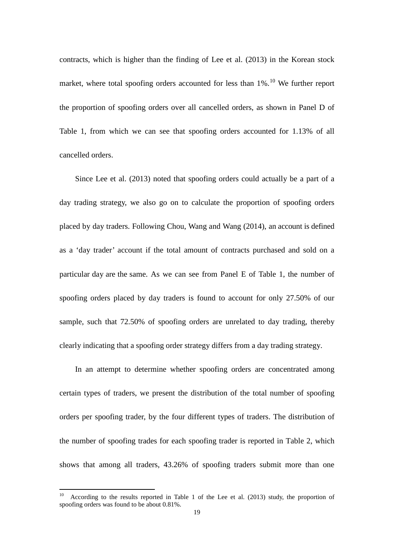contracts, which is higher than the finding of Lee et al. (2013) in the Korean stock market, where total spoofing orders accounted for less than 1%.<sup>[10](#page-18-0)</sup> We further report the proportion of spoofing orders over all cancelled orders, as shown in Panel D of Table 1, from which we can see that spoofing orders accounted for 1.13% of all cancelled orders.

Since Lee et al. (2013) noted that spoofing orders could actually be a part of a day trading strategy, we also go on to calculate the proportion of spoofing orders placed by day traders. Following Chou, Wang and Wang (2014), an account is defined as a 'day trader' account if the total amount of contracts purchased and sold on a particular day are the same. As we can see from Panel E of Table 1, the number of spoofing orders placed by day traders is found to account for only 27.50% of our sample, such that 72.50% of spoofing orders are unrelated to day trading, thereby clearly indicating that a spoofing order strategy differs from a day trading strategy.

In an attempt to determine whether spoofing orders are concentrated among certain types of traders, we present the distribution of the total number of spoofing orders per spoofing trader, by the four different types of traders. The distribution of the number of spoofing trades for each spoofing trader is reported in Table 2, which shows that among all traders, 43.26% of spoofing traders submit more than one

<span id="page-18-0"></span><sup>10</sup> According to the results reported in Table 1 of the Lee et al. (2013) study, the proportion of spoofing orders was found to be about 0.81%.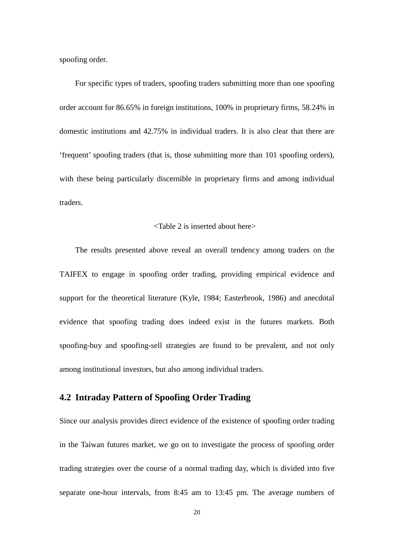spoofing order.

For specific types of traders, spoofing traders submitting more than one spoofing order account for 86.65% in foreign institutions, 100% in proprietary firms, 58.24% in domestic institutions and 42.75% in individual traders. It is also clear that there are 'frequent' spoofing traders (that is, those submitting more than 101 spoofing orders), with these being particularly discernible in proprietary firms and among individual traders.

#### <Table 2 is inserted about here>

The results presented above reveal an overall tendency among traders on the TAIFEX to engage in spoofing order trading, providing empirical evidence and support for the theoretical literature (Kyle, 1984; Easterbrook, 1986) and anecdotal evidence that spoofing trading does indeed exist in the futures markets. Both spoofing-buy and spoofing-sell strategies are found to be prevalent, and not only among institutional investors, but also among individual traders.

## **4.2 Intraday Pattern of Spoofing Order Trading**

Since our analysis provides direct evidence of the existence of spoofing order trading in the Taiwan futures market, we go on to investigate the process of spoofing order trading strategies over the course of a normal trading day, which is divided into five separate one-hour intervals, from 8:45 am to 13:45 pm. The average numbers of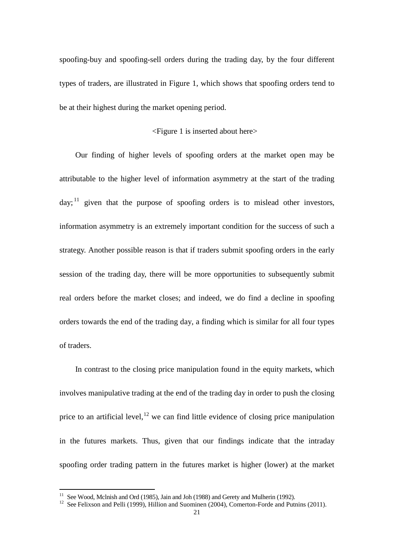spoofing-buy and spoofing-sell orders during the trading day, by the four different types of traders, are illustrated in Figure 1, which shows that spoofing orders tend to be at their highest during the market opening period.

## <Figure 1 is inserted about here>

Our finding of higher levels of spoofing orders at the market open may be attributable to the higher level of information asymmetry at the start of the trading day;  $11$  given that the purpose of spoofing orders is to mislead other investors, information asymmetry is an extremely important condition for the success of such a strategy. Another possible reason is that if traders submit spoofing orders in the early session of the trading day, there will be more opportunities to subsequently submit real orders before the market closes; and indeed, we do find a decline in spoofing orders towards the end of the trading day, a finding which is similar for all four types of traders.

In contrast to the closing price manipulation found in the equity markets, which involves manipulative trading at the end of the trading day in order to push the closing price to an artificial level,<sup>[12](#page-20-1)</sup> we can find little evidence of closing price manipulation in the futures markets. Thus, given that our findings indicate that the intraday spoofing order trading pattern in the futures market is higher (lower) at the market

<span id="page-20-0"></span> $11$  See Wood, McInish and Ord (1985), Jain and Joh (1988) and Gerety and Mulherin (1992).

<span id="page-20-1"></span><sup>&</sup>lt;sup>12</sup> See Felixson and Pelli (1999), Hillion and Suominen (2004), Comerton-Forde and Putnins (2011).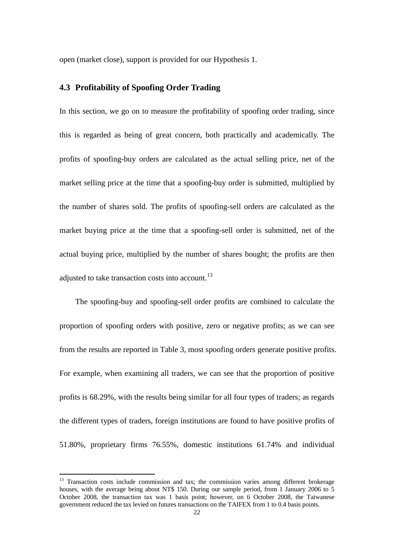open (market close), support is provided for our Hypothesis 1.

## **4.3 Profitability of Spoofing Order Trading**

In this section, we go on to measure the profitability of spoofing order trading, since this is regarded as being of great concern, both practically and academically. The profits of spoofing-buy orders are calculated as the actual selling price, net of the market selling price at the time that a spoofing-buy order is submitted, multiplied by the number of shares sold. The profits of spoofing-sell orders are calculated as the market buying price at the time that a spoofing-sell order is submitted, net of the actual buying price, multiplied by the number of shares bought; the profits are then adjusted to take transaction costs into account.<sup>[13](#page-21-0)</sup>

The spoofing-buy and spoofing-sell order profits are combined to calculate the proportion of spoofing orders with positive, zero or negative profits; as we can see from the results are reported in Table 3, most spoofing orders generate positive profits. For example, when examining all traders, we can see that the proportion of positive profits is 68.29%, with the results being similar for all four types of traders; as regards the different types of traders, foreign institutions are found to have positive profits of 51.80%, proprietary firms 76.55%, domestic institutions 61.74% and individual

<span id="page-21-0"></span><sup>&</sup>lt;sup>13</sup> Transaction costs include commission and tax; the commission varies among different brokerage houses, with the average being about NT\$ 150. During our sample period, from 1 January 2006 to 5 October 2008, the transaction tax was 1 basis point; however, on 6 October 2008, the Taiwanese government reduced the tax levied on futures transactions on the TAIFEX from 1 to 0.4 basis points.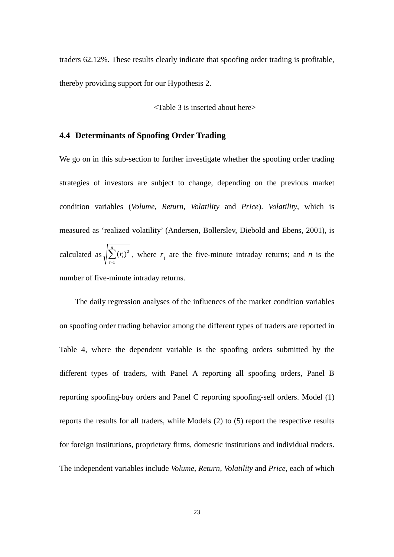traders 62.12%. These results clearly indicate that spoofing order trading is profitable, thereby providing support for our Hypothesis 2.

<Table 3 is inserted about here>

## **4.4 Determinants of Spoofing Order Trading**

We go on in this sub-section to further investigate whether the spoofing order trading strategies of investors are subject to change, depending on the previous market condition variables (*Volume*, *Return*, *Volatility* and *Price*). *Volatility*, which is measured as 'realized volatility' (Andersen, Bollerslev, Diebold and Ebens, 2001), is calculated as  $\sqrt{\sum_{t=1}^{n}}$  $\sum_{t=1}^{n} (r_t)^2$ , where  $r_t$  are the five-minute intraday returns; and *n* is the number of five-minute intraday returns.

The daily regression analyses of the influences of the market condition variables on spoofing order trading behavior among the different types of traders are reported in Table 4, where the dependent variable is the spoofing orders submitted by the different types of traders, with Panel A reporting all spoofing orders, Panel B reporting spoofing-buy orders and Panel C reporting spoofing-sell orders. Model (1) reports the results for all traders, while Models (2) to (5) report the respective results for foreign institutions, proprietary firms, domestic institutions and individual traders. The independent variables include *Volume*, *Return*, *Volatility* and *Price*, each of which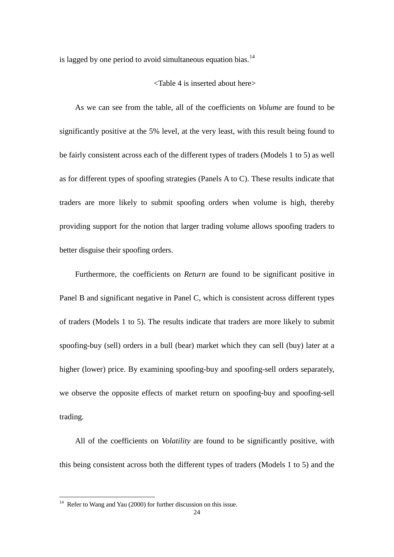is lagged by one period to avoid simultaneous equation bias. $14$ 

#### <Table 4 is inserted about here>

As we can see from the table, all of the coefficients on *Volume* are found to be significantly positive at the 5% level, at the very least, with this result being found to be fairly consistent across each of the different types of traders (Models 1 to 5) as well as for different types of spoofing strategies (Panels A to C). These results indicate that traders are more likely to submit spoofing orders when volume is high, thereby providing support for the notion that larger trading volume allows spoofing traders to better disguise their spoofing orders.

Furthermore, the coefficients on *Return* are found to be significant positive in Panel B and significant negative in Panel C, which is consistent across different types of traders (Models 1 to 5). The results indicate that traders are more likely to submit spoofing-buy (sell) orders in a bull (bear) market which they can sell (buy) later at a higher (lower) price. By examining spoofing-buy and spoofing-sell orders separately, we observe the opposite effects of market return on spoofing-buy and spoofing-sell trading.

All of the coefficients on *Volatility* are found to be significantly positive, with this being consistent across both the different types of traders (Models 1 to 5) and the

<span id="page-23-0"></span> $14$  Refer to Wang and Yau (2000) for further discussion on this issue.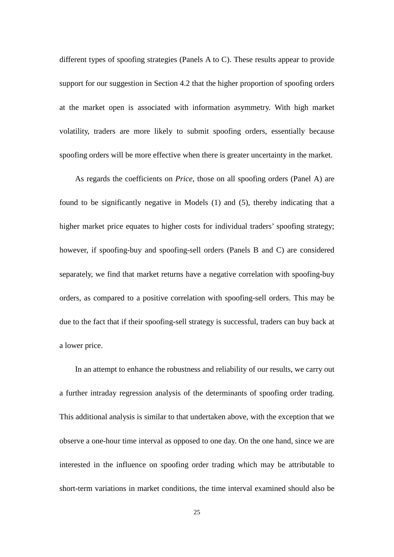different types of spoofing strategies (Panels A to C). These results appear to provide support for our suggestion in Section 4.2 that the higher proportion of spoofing orders at the market open is associated with information asymmetry. With high market volatility, traders are more likely to submit spoofing orders, essentially because spoofing orders will be more effective when there is greater uncertainty in the market.

As regards the coefficients on *Price*, those on all spoofing orders (Panel A) are found to be significantly negative in Models (1) and (5), thereby indicating that a higher market price equates to higher costs for individual traders' spoofing strategy; however, if spoofing-buy and spoofing-sell orders (Panels B and C) are considered separately, we find that market returns have a negative correlation with spoofing-buy orders, as compared to a positive correlation with spoofing-sell orders. This may be due to the fact that if their spoofing-sell strategy is successful, traders can buy back at a lower price.

In an attempt to enhance the robustness and reliability of our results, we carry out a further intraday regression analysis of the determinants of spoofing order trading. This additional analysis is similar to that undertaken above, with the exception that we observe a one-hour time interval as opposed to one day. On the one hand, since we are interested in the influence on spoofing order trading which may be attributable to short-term variations in market conditions, the time interval examined should also be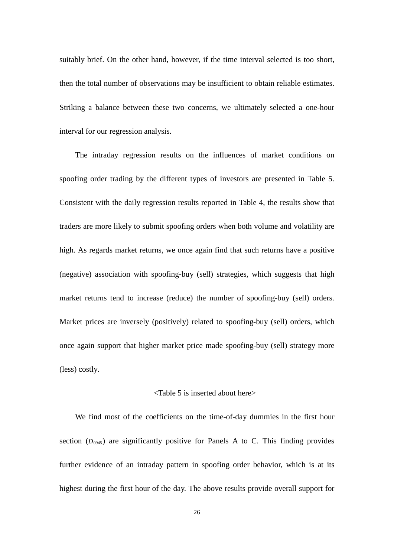suitably brief. On the other hand, however, if the time interval selected is too short, then the total number of observations may be insufficient to obtain reliable estimates. Striking a balance between these two concerns, we ultimately selected a one-hour interval for our regression analysis.

The intraday regression results on the influences of market conditions on spoofing order trading by the different types of investors are presented in Table 5. Consistent with the daily regression results reported in Table 4, the results show that traders are more likely to submit spoofing orders when both volume and volatility are high. As regards market returns, we once again find that such returns have a positive (negative) association with spoofing-buy (sell) strategies, which suggests that high market returns tend to increase (reduce) the number of spoofing-buy (sell) orders. Market prices are inversely (positively) related to spoofing-buy (sell) orders, which once again support that higher market price made spoofing-buy (sell) strategy more (less) costly.

#### <Table 5 is inserted about here>

We find most of the coefficients on the time-of-day dummies in the first hour section  $(D_{0945})$  are significantly positive for Panels A to C. This finding provides further evidence of an intraday pattern in spoofing order behavior, which is at its highest during the first hour of the day. The above results provide overall support for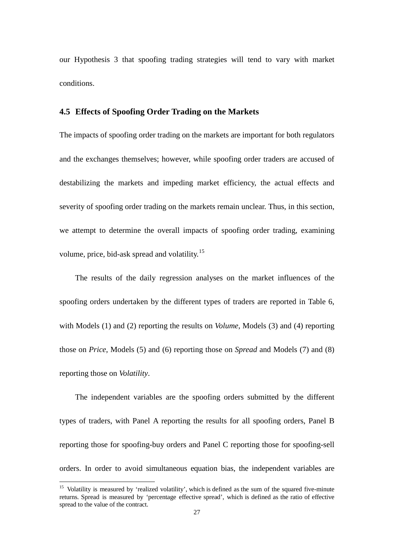our Hypothesis 3 that spoofing trading strategies will tend to vary with market conditions.

### **4.5 Effects of Spoofing Order Trading on the Markets**

The impacts of spoofing order trading on the markets are important for both regulators and the exchanges themselves; however, while spoofing order traders are accused of destabilizing the markets and impeding market efficiency, the actual effects and severity of spoofing order trading on the markets remain unclear. Thus, in this section, we attempt to determine the overall impacts of spoofing order trading, examining volume, price, bid-ask spread and volatility.[15](#page-26-0)

The results of the daily regression analyses on the market influences of the spoofing orders undertaken by the different types of traders are reported in Table 6, with Models (1) and (2) reporting the results on *Volume*, Models (3) and (4) reporting those on *Price*, Models (5) and (6) reporting those on *Spread* and Models (7) and (8) reporting those on *Volatility*.

The independent variables are the spoofing orders submitted by the different types of traders, with Panel A reporting the results for all spoofing orders, Panel B reporting those for spoofing-buy orders and Panel C reporting those for spoofing-sell orders. In order to avoid simultaneous equation bias, the independent variables are

<span id="page-26-0"></span><sup>&</sup>lt;sup>15</sup> Volatility is measured by 'realized volatility', which is defined as the sum of the squared five-minute returns. Spread is measured by 'percentage effective spread', which is defined as the ratio of effective spread to the value of the contract.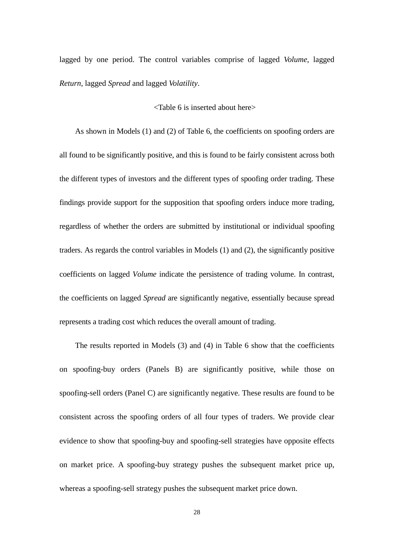lagged by one period. The control variables comprise of lagged *Volume*, lagged *Return*, lagged *Spread* and lagged *Volatility*.

#### <Table 6 is inserted about here>

As shown in Models (1) and (2) of Table 6, the coefficients on spoofing orders are all found to be significantly positive, and this is found to be fairly consistent across both the different types of investors and the different types of spoofing order trading. These findings provide support for the supposition that spoofing orders induce more trading, regardless of whether the orders are submitted by institutional or individual spoofing traders. As regards the control variables in Models (1) and (2), the significantly positive coefficients on lagged *Volume* indicate the persistence of trading volume. In contrast, the coefficients on lagged *Spread* are significantly negative, essentially because spread represents a trading cost which reduces the overall amount of trading.

The results reported in Models (3) and (4) in Table 6 show that the coefficients on spoofing-buy orders (Panels B) are significantly positive, while those on spoofing-sell orders (Panel C) are significantly negative. These results are found to be consistent across the spoofing orders of all four types of traders. We provide clear evidence to show that spoofing-buy and spoofing-sell strategies have opposite effects on market price. A spoofing-buy strategy pushes the subsequent market price up, whereas a spoofing-sell strategy pushes the subsequent market price down.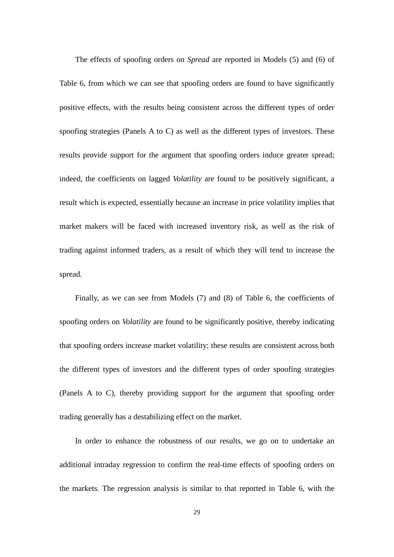The effects of spoofing orders on *Spread* are reported in Models (5) and (6) of Table 6, from which we can see that spoofing orders are found to have significantly positive effects, with the results being consistent across the different types of order spoofing strategies (Panels A to C) as well as the different types of investors. These results provide support for the argument that spoofing orders induce greater spread; indeed, the coefficients on lagged *Volatility* are found to be positively significant, a result which is expected, essentially because an increase in price volatility implies that market makers will be faced with increased inventory risk, as well as the risk of trading against informed traders, as a result of which they will tend to increase the spread.

Finally, as we can see from Models (7) and (8) of Table 6, the coefficients of spoofing orders on *Volatility* are found to be significantly positive, thereby indicating that spoofing orders increase market volatility; these results are consistent across both the different types of investors and the different types of order spoofing strategies (Panels A to C), thereby providing support for the argument that spoofing order trading generally has a destabilizing effect on the market.

In order to enhance the robustness of our results, we go on to undertake an additional intraday regression to confirm the real-time effects of spoofing orders on the markets. The regression analysis is similar to that reported in Table 6, with the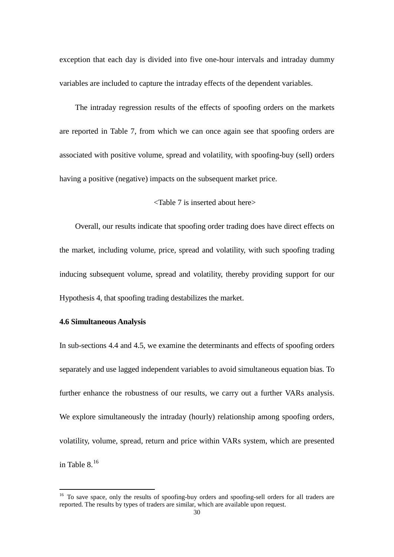exception that each day is divided into five one-hour intervals and intraday dummy variables are included to capture the intraday effects of the dependent variables.

The intraday regression results of the effects of spoofing orders on the markets are reported in Table 7, from which we can once again see that spoofing orders are associated with positive volume, spread and volatility, with spoofing-buy (sell) orders having a positive (negative) impacts on the subsequent market price.

### <Table 7 is inserted about here>

Overall, our results indicate that spoofing order trading does have direct effects on the market, including volume, price, spread and volatility, with such spoofing trading inducing subsequent volume, spread and volatility, thereby providing support for our Hypothesis 4, that spoofing trading destabilizes the market.

#### **4.6 Simultaneous Analysis**

 $\overline{a}$ 

In sub-sections 4.4 and 4.5, we examine the determinants and effects of spoofing orders separately and use lagged independent variables to avoid simultaneous equation bias. To further enhance the robustness of our results, we carry out a further VARs analysis. We explore simultaneously the intraday (hourly) relationship among spoofing orders, volatility, volume, spread, return and price within VARs system, which are presented in Table  $8^{16}$  $8^{16}$  $8^{16}$ 

<span id="page-29-0"></span><sup>&</sup>lt;sup>16</sup> To save space, only the results of spoofing-buy orders and spoofing-sell orders for all traders are reported. The results by types of traders are similar, which are available upon request.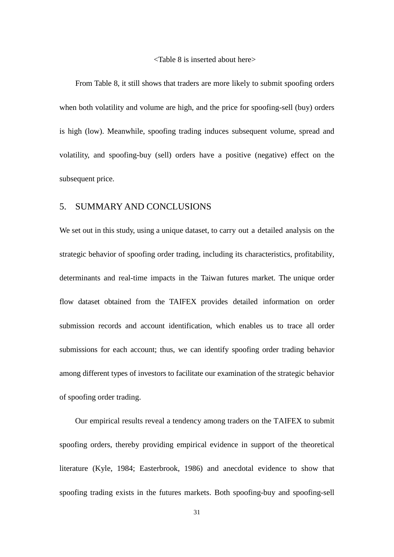#### <Table 8 is inserted about here>

From Table 8, it still shows that traders are more likely to submit spoofing orders when both volatility and volume are high, and the price for spoofing-sell (buy) orders is high (low). Meanwhile, spoofing trading induces subsequent volume, spread and volatility, and spoofing-buy (sell) orders have a positive (negative) effect on the subsequent price.

## 5. SUMMARY AND CONCLUSIONS

We set out in this study, using a unique dataset, to carry out a detailed analysis on the strategic behavior of spoofing order trading, including its characteristics, profitability, determinants and real-time impacts in the Taiwan futures market. The unique order flow dataset obtained from the TAIFEX provides detailed information on order submission records and account identification, which enables us to trace all order submissions for each account; thus, we can identify spoofing order trading behavior among different types of investors to facilitate our examination of the strategic behavior of spoofing order trading.

Our empirical results reveal a tendency among traders on the TAIFEX to submit spoofing orders, thereby providing empirical evidence in support of the theoretical literature (Kyle, 1984; Easterbrook, 1986) and anecdotal evidence to show that spoofing trading exists in the futures markets. Both spoofing-buy and spoofing-sell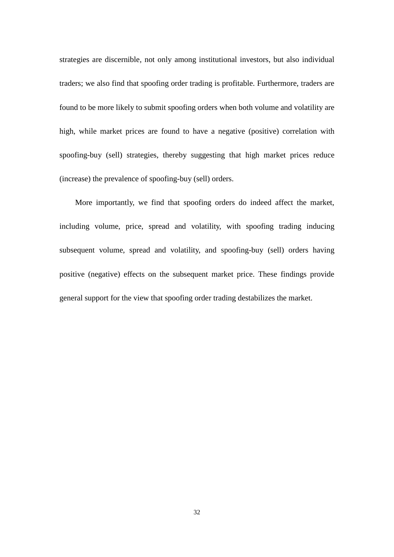strategies are discernible, not only among institutional investors, but also individual traders; we also find that spoofing order trading is profitable. Furthermore, traders are found to be more likely to submit spoofing orders when both volume and volatility are high, while market prices are found to have a negative (positive) correlation with spoofing-buy (sell) strategies, thereby suggesting that high market prices reduce (increase) the prevalence of spoofing-buy (sell) orders.

More importantly, we find that spoofing orders do indeed affect the market, including volume, price, spread and volatility, with spoofing trading inducing subsequent volume, spread and volatility, and spoofing-buy (sell) orders having positive (negative) effects on the subsequent market price. These findings provide general support for the view that spoofing order trading destabilizes the market.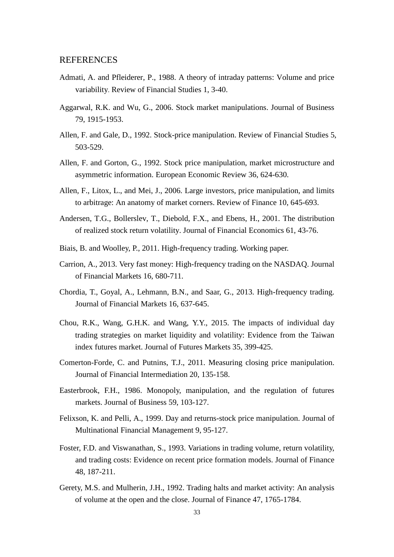#### REFERENCES

- Admati, A. and Pfleiderer, P., 1988. A theory of intraday patterns: Volume and price variability. Review of Financial Studies 1, 3-40.
- Aggarwal, R.K. and Wu, G., 2006. Stock market manipulations. Journal of Business 79, 1915-1953.
- Allen, F. and Gale, D., 1992. Stock-price manipulation. Review of Financial Studies 5, 503-529.
- Allen, F. and Gorton, G., 1992. Stock price manipulation, market microstructure and asymmetric information. European Economic Review 36, 624-630.
- Allen, F., Litox, L., and Mei, J., 2006. Large investors, price manipulation, and limits to arbitrage: An anatomy of market corners. Review of Finance 10, 645-693.
- Andersen, T.G., Bollerslev, T., Diebold, F.X., and Ebens, H., 2001. The distribution of realized stock return volatility. Journal of Financial Economics 61, 43-76.
- Biais, B. and Woolley, P., 2011. High-frequency trading. Working paper.
- Carrion, A., 2013. Very fast money: High-frequency trading on the NASDAQ. Journal of Financial Markets 16, 680-711.
- Chordia, T., Goyal, A., Lehmann, B.N., and Saar, G., 2013. High-frequency trading. Journal of Financial Markets 16, 637-645.
- Chou, R.K., Wang, G.H.K. and Wang, Y.Y., 2015. The impacts of individual day trading strategies on market liquidity and volatility: Evidence from the Taiwan index futures market. Journal of Futures Markets 35, 399-425.
- Comerton-Forde, C. and Putnins, T.J., 2011. Measuring closing price manipulation. Journal of Financial Intermediation 20, 135-158.
- Easterbrook, F.H., 1986. Monopoly, manipulation, and the regulation of futures markets. Journal of Business 59, 103-127.
- Felixson, K. and Pelli, A., 1999. Day and returns-stock price manipulation. Journal of Multinational Financial Management 9, 95-127.
- Foster, F.D. and Viswanathan, S., 1993. Variations in trading volume, return volatility, and trading costs: Evidence on recent price formation models. Journal of Finance 48, 187-211.
- Gerety, M.S. and Mulherin, J.H., 1992. Trading halts and market activity: An analysis of volume at the open and the close. Journal of Finance 47, 1765-1784.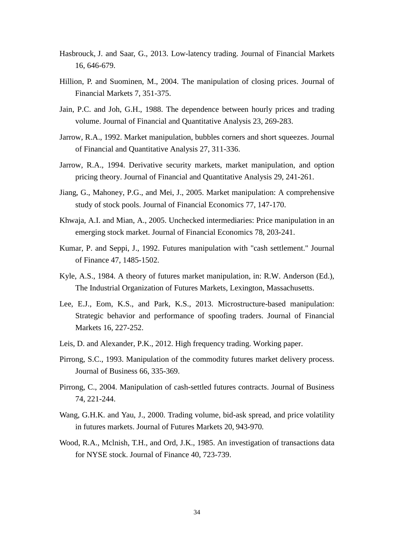- Hasbrouck, J. and Saar, G., 2013. Low-latency trading. Journal of Financial Markets 16, 646-679.
- Hillion, P. and Suominen, M., 2004. The manipulation of closing prices. Journal of Financial Markets 7, 351-375.
- Jain, P.C. and Joh, G.H., 1988. The dependence between hourly prices and trading volume. Journal of Financial and Quantitative Analysis 23, 269-283.
- Jarrow, R.A., 1992. Market manipulation, bubbles corners and short squeezes. Journal of Financial and Quantitative Analysis 27, 311-336.
- Jarrow, R.A., 1994. Derivative security markets, market manipulation, and option pricing theory. Journal of Financial and Quantitative Analysis 29, 241-261.
- Jiang, G., Mahoney, P.G., and Mei, J., 2005. Market manipulation: A comprehensive study of stock pools. Journal of Financial Economics 77, 147-170.
- Khwaja, A.I. and Mian, A., 2005. Unchecked intermediaries: Price manipulation in an emerging stock market. Journal of Financial Economics 78, 203-241.
- Kumar, P. and Seppi, J., 1992. Futures manipulation with "cash settlement." Journal of Finance 47, 1485-1502.
- Kyle, A.S., 1984. A theory of futures market manipulation, in: R.W. Anderson (Ed.), The Industrial Organization of Futures Markets, Lexington, Massachusetts.
- Lee, E.J., Eom, K.S., and Park, K.S., 2013. Microstructure-based manipulation: Strategic behavior and performance of spoofing traders. Journal of Financial Markets 16, 227-252.
- Leis, D. and Alexander, P.K., 2012. High frequency trading. Working paper.
- Pirrong, S.C., 1993. Manipulation of the commodity futures market delivery process. Journal of Business 66, 335-369.
- Pirrong, C., 2004. Manipulation of cash-settled futures contracts. Journal of Business 74, 221-244.
- Wang, G.H.K. and Yau, J., 2000. Trading volume, bid-ask spread, and price volatility in futures markets. Journal of Futures Markets 20, 943-970.
- Wood, R.A., Mclnish, T.H., and Ord, J.K., 1985. An investigation of transactions data for NYSE stock. Journal of Finance 40, 723-739.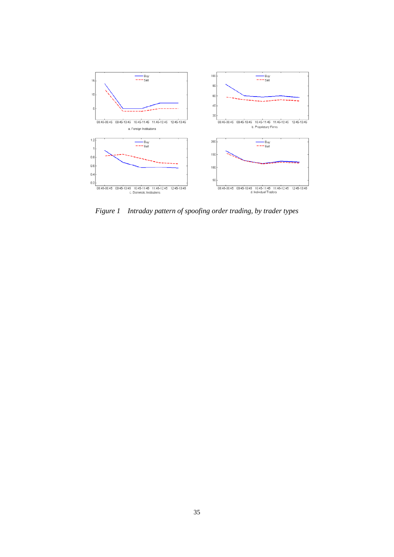

*Figure 1 Intraday pattern of spoofing order trading, by trader types*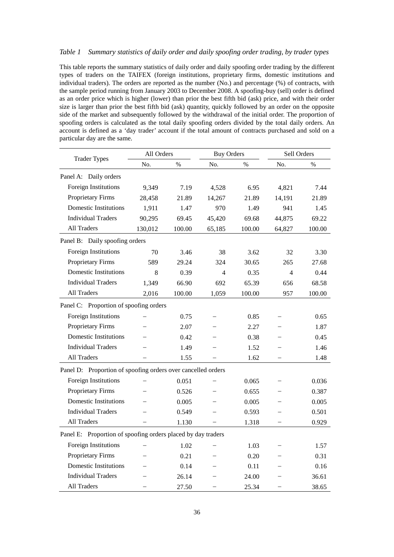#### *Table 1 Summary statistics of daily order and daily spoofing order trading, by trader types*

This table reports the summary statistics of daily order and daily spoofing order trading by the different types of traders on the TAIFEX (foreign institutions, proprietary firms, domestic institutions and individual traders). The orders are reported as the number (No.) and percentage (%) of contracts, with the sample period running from January 2003 to December 2008. A spoofing-buy (sell) order is defined as an order price which is higher (lower) than prior the best fifth bid (ask) price, and with their order size is larger than prior the best fifth bid (ask) quantity, quickly followed by an order on the opposite side of the market and subsequently followed by the withdrawal of the initial order. The proportion of spoofing orders is calculated as the total daily spoofing orders divided by the total daily orders. An account is defined as a 'day trader' account if the total amount of contracts purchased and sold on a particular day are the same.

| <b>Trader Types</b>                                          | All Orders |        | <b>Buy Orders</b> |               | Sell Orders    |               |
|--------------------------------------------------------------|------------|--------|-------------------|---------------|----------------|---------------|
|                                                              | No.        | $\%$   | No.               | $\frac{0}{0}$ | No.            | $\frac{0}{0}$ |
| Panel A: Daily orders                                        |            |        |                   |               |                |               |
| Foreign Institutions                                         | 9,349      | 7.19   | 4,528             | 6.95          | 4,821          | 7.44          |
| <b>Proprietary Firms</b>                                     | 28,458     | 21.89  | 14,267            | 21.89         | 14,191         | 21.89         |
| <b>Domestic Institutions</b>                                 | 1,911      | 1.47   | 970               | 1.49          | 941            | 1.45          |
| <b>Individual Traders</b>                                    | 90,295     | 69.45  | 45,420            | 69.68         | 44,875         | 69.22         |
| <b>All Traders</b>                                           | 130,012    | 100.00 | 65,185            | 100.00        | 64,827         | 100.00        |
| Panel B: Daily spoofing orders                               |            |        |                   |               |                |               |
| Foreign Institutions                                         | 70         | 3.46   | 38                | 3.62          | 32             | 3.30          |
| <b>Proprietary Firms</b>                                     | 589        | 29.24  | 324               | 30.65         | 265            | 27.68         |
| <b>Domestic Institutions</b>                                 | 8          | 0.39   | 4                 | 0.35          | $\overline{4}$ | 0.44          |
| <b>Individual Traders</b>                                    | 1,349      | 66.90  | 692               | 65.39         | 656            | 68.58         |
| All Traders                                                  | 2,016      | 100.00 | 1,059             | 100.00        | 957            | 100.00        |
| Panel C: Proportion of spoofing orders                       |            |        |                   |               |                |               |
| Foreign Institutions                                         |            | 0.75   |                   | 0.85          |                | 0.65          |
| <b>Proprietary Firms</b>                                     |            | 2.07   |                   | 2.27          |                | 1.87          |
| <b>Domestic Institutions</b>                                 |            | 0.42   |                   | 0.38          |                | 0.45          |
| <b>Individual Traders</b>                                    |            | 1.49   |                   | 1.52          |                | 1.46          |
| <b>All Traders</b>                                           |            | 1.55   |                   | 1.62          |                | 1.48          |
| Panel D: Proportion of spoofing orders over cancelled orders |            |        |                   |               |                |               |
| Foreign Institutions                                         |            | 0.051  |                   | 0.065         |                | 0.036         |
| <b>Proprietary Firms</b>                                     |            | 0.526  |                   | 0.655         |                | 0.387         |
| <b>Domestic Institutions</b>                                 |            | 0.005  |                   | 0.005         |                | 0.005         |
| <b>Individual Traders</b>                                    |            | 0.549  |                   | 0.593         |                | 0.501         |
| All Traders                                                  |            | 1.130  |                   | 1.318         |                | 0.929         |
| Panel E: Proportion of spoofing orders placed by day traders |            |        |                   |               |                |               |
| Foreign Institutions                                         |            | 1.02   |                   | 1.03          |                | 1.57          |
| <b>Proprietary Firms</b>                                     |            | 0.21   |                   | 0.20          |                | 0.31          |
| <b>Domestic Institutions</b>                                 |            | 0.14   |                   | 0.11          |                | 0.16          |
| <b>Individual Traders</b>                                    |            | 26.14  |                   | 24.00         |                | 36.61         |
| All Traders                                                  |            | 27.50  |                   | 25.34         |                | 38.65         |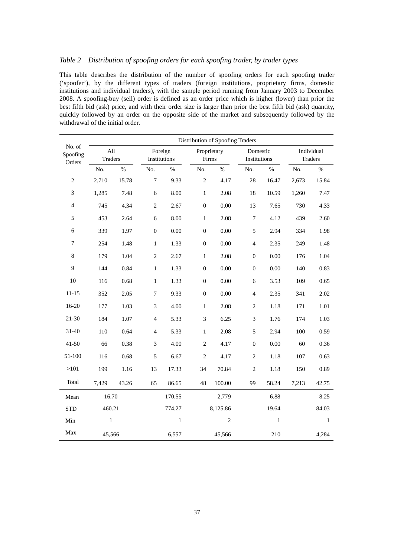#### *Table 2 Distribution of spoofing orders for each spoofing trader, by trader types*

This table describes the distribution of the number of spoofing orders for each spoofing trader ('spoofer'), by the different types of traders (foreign institutions, proprietary firms, domestic institutions and individual traders), with the sample period running from January 2003 to December 2008. A spoofing-buy (sell) order is defined as an order price which is higher (lower) than prior the best fifth bid (ask) price, and with their order size is larger than prior the best fifth bid (ask) quantity, quickly followed by an order on the opposite side of the market and subsequently followed by the withdrawal of the initial order.

|                              |                |       |                             |              |                      | Distribution of Spoofing Traders |                          |       |       |                       |
|------------------------------|----------------|-------|-----------------------------|--------------|----------------------|----------------------------------|--------------------------|-------|-------|-----------------------|
| No. of<br>Spoofing<br>Orders | All<br>Traders |       | Foreign<br>Institutions     |              | Proprietary<br>Firms |                                  | Domestic<br>Institutions |       |       | Individual<br>Traders |
|                              | No.            | $\%$  | No.                         | $\%$         | No.                  | $\%$                             | No.                      | $\%$  | No.   | $\%$                  |
| $\sqrt{2}$                   | 2,710          | 15.78 | $\tau$                      | 9.33         | $\overline{2}$       | 4.17                             | 28                       | 16.47 | 2,673 | 15.84                 |
| 3                            | 1,285          | 7.48  | 6                           | 8.00         | $\mathbf{1}$         | 2.08                             | 18                       | 10.59 | 1,260 | 7.47                  |
| $\overline{4}$               | 745            | 4.34  | $\overline{c}$              | 2.67         | $\boldsymbol{0}$     | 0.00                             | 13                       | 7.65  | 730   | 4.33                  |
| 5                            | 453            | 2.64  | $\sqrt{6}$                  | 8.00         | $\mathbf{1}$         | 2.08                             | $\boldsymbol{7}$         | 4.12  | 439   | 2.60                  |
| $\sqrt{6}$                   | 339            | 1.97  | $\boldsymbol{0}$            | 0.00         | $\boldsymbol{0}$     | 0.00                             | $\sqrt{5}$               | 2.94  | 334   | 1.98                  |
| $\boldsymbol{7}$             | 254            | 1.48  | $\mathbf 1$                 | 1.33         | $\boldsymbol{0}$     | 0.00                             | $\overline{\mathbf{4}}$  | 2.35  | 249   | 1.48                  |
| $8\,$                        | 179            | 1.04  | $\sqrt{2}$                  | 2.67         | $\mathbf{1}$         | 2.08                             | $\boldsymbol{0}$         | 0.00  | 176   | 1.04                  |
| 9                            | 144            | 0.84  | $\mathbf 1$                 | 1.33         | $\boldsymbol{0}$     | 0.00                             | $\boldsymbol{0}$         | 0.00  | 140   | 0.83                  |
| $10\,$                       | 116            | 0.68  | $\mathbf 1$                 | 1.33         | $\boldsymbol{0}$     | $0.00\,$                         | $\sqrt{6}$               | 3.53  | 109   | 0.65                  |
| $11 - 15$                    | 352            | 2.05  | $\boldsymbol{7}$            | 9.33         | $\boldsymbol{0}$     | 0.00                             | $\overline{4}$           | 2.35  | 341   | 2.02                  |
| 16-20                        | 177            | 1.03  | $\ensuremath{\mathfrak{Z}}$ | 4.00         | $\mathbf 1$          | 2.08                             | $\,2$                    | 1.18  | 171   | 1.01                  |
| $21 - 30$                    | 184            | 1.07  | $\overline{4}$              | 5.33         | 3                    | 6.25                             | 3                        | 1.76  | 174   | 1.03                  |
| $31 - 40$                    | 110            | 0.64  | $\overline{4}$              | 5.33         | $\mathbf{1}$         | 2.08                             | 5                        | 2.94  | 100   | 0.59                  |
| $41 - 50$                    | 66             | 0.38  | $\ensuremath{\mathfrak{Z}}$ | 4.00         | $\overline{2}$       | 4.17                             | $\boldsymbol{0}$         | 0.00  | 60    | 0.36                  |
| 51-100                       | 116            | 0.68  | $\sqrt{5}$                  | 6.67         | $\sqrt{2}$           | 4.17                             | $\,2$                    | 1.18  | 107   | 0.63                  |
| $>101$                       | 199            | 1.16  | 13                          | 17.33        | 34                   | 70.84                            | $\,2$                    | 1.18  | 150   | 0.89                  |
| Total                        | 7,429          | 43.26 | 65                          | 86.65        | 48                   | 100.00                           | 99                       | 58.24 | 7,213 | 42.75                 |
| Mean                         | 16.70          |       |                             | 170.55       |                      | 2,779                            |                          | 6.88  |       | 8.25                  |
| <b>STD</b>                   | 460.21         |       |                             | 774.27       |                      | 8,125.86                         |                          | 19.64 |       | 84.03                 |
| Min                          | $\mathbf{1}$   |       |                             | $\mathbf{1}$ |                      | $\sqrt{2}$                       |                          | 1     |       | $\mathbf{1}$          |
| Max                          | 45,566         |       |                             | 6,557        |                      | 45,566                           |                          | 210   |       | 4,284                 |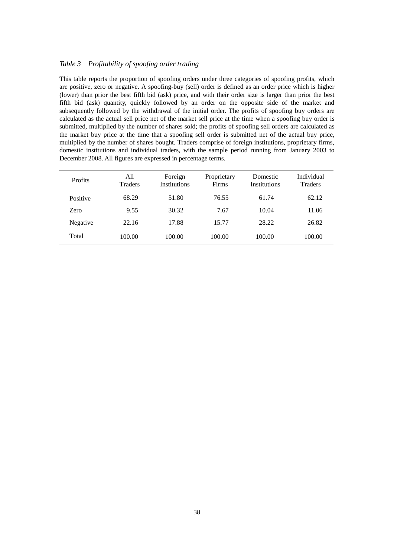#### *Table 3 Profitability of spoofing order trading*

This table reports the proportion of spoofing orders under three categories of spoofing profits, which are positive, zero or negative. A spoofing-buy (sell) order is defined as an order price which is higher (lower) than prior the best fifth bid (ask) price, and with their order size is larger than prior the best fifth bid (ask) quantity, quickly followed by an order on the opposite side of the market and subsequently followed by the withdrawal of the initial order. The profits of spoofing buy orders are calculated as the actual sell price net of the market sell price at the time when a spoofing buy order is submitted, multiplied by the number of shares sold; the profits of spoofing sell orders are calculated as the market buy price at the time that a spoofing sell order is submitted net of the actual buy price, multiplied by the number of shares bought. Traders comprise of foreign institutions, proprietary firms, domestic institutions and individual traders, with the sample period running from January 2003 to December 2008. All figures are expressed in percentage terms.

| <b>Profits</b> | All<br><b>Traders</b> | Foreign<br><b>Institutions</b> | Proprietary<br>Firms | Domestic<br>Institutions | Individual<br><b>Traders</b> |
|----------------|-----------------------|--------------------------------|----------------------|--------------------------|------------------------------|
| Positive       | 68.29                 | 51.80                          | 76.55                | 61.74                    | 62.12                        |
| Zero           | 9.55                  | 30.32                          | 7.67                 | 10.04                    | 11.06                        |
| Negative       | 22.16                 | 17.88                          | 15.77                | 28.22                    | 26.82                        |
| Total          | 100.00                | 100.00                         | 100.00               | 100.00                   | 100.00                       |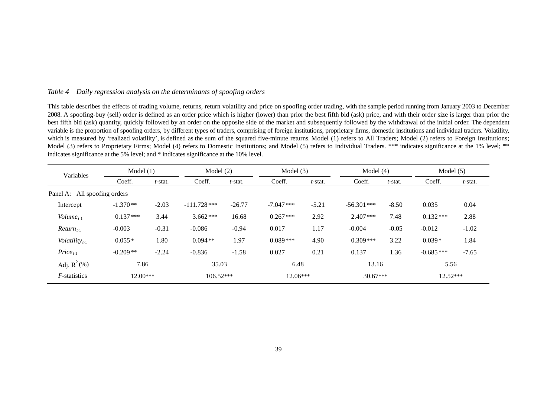#### *Table 4 Daily regression analysis on the determinants of spoofing orders*

This table describes the effects of trading volume, returns, return volatility and price on spoofing order trading, with the sample period running from January 2003 to December 2008. A spoofing-buy (sell) order is defined as an order price which is higher (lower) than prior the best fifth bid (ask) price, and with their order size is larger than prior the best fifth bid (ask) quantity, quickly followed by an order on the opposite side of the market and subsequently followed by the withdrawal of the initial order. The dependent variable is the proportion of spoofing orders, by different types of traders, comprising of foreign institutions, proprietary firms, domestic institutions and individual traders. Volatility, which is measured by 'realized volatility', is defined as the sum of the squared five-minute returns. Model (1) refers to All Traders; Model (2) refers to Foreign Institutions; Model (3) refers to Proprietary Firms; Model (4) refers to Domestic Institutions; and Model (5) refers to Individual Traders. \*\*\* indicates significance at the 1% level; \*\* indicates significance at the 5% level; and \* indicates significance at the 10% level.

| Variables                    | Model $(1)$ |         |                | Model $(2)$<br>Model $(3)$ |              | Model $(4)$ |               | Model $(5)$ |             |         |
|------------------------------|-------------|---------|----------------|----------------------------|--------------|-------------|---------------|-------------|-------------|---------|
|                              | Coeff.      | t-stat. | Coeff.         | $t$ -stat.                 | Coeff.       | $t$ -stat.  | Coeff.        | t-stat.     | Coeff.      | t-stat. |
| Panel A: All spoofing orders |             |         |                |                            |              |             |               |             |             |         |
| Intercept                    | $-1.370**$  | $-2.03$ | $-111.728$ *** | $-26.77$                   | $-7.047$ *** | $-5.21$     | $-56.301$ *** | $-8.50$     | 0.035       | 0.04    |
| Volume <sub>t-1</sub>        | $0.137***$  | 3.44    | $3.662***$     | 16.68                      | $0.267***$   | 2.92        | $2.407***$    | 7.48        | $0.132***$  | 2.88    |
| $Return_{t-1}$               | $-0.003$    | $-0.31$ | $-0.086$       | $-0.94$                    | 0.017        | 1.17        | $-0.004$      | $-0.05$     | $-0.012$    | $-1.02$ |
| Volatility $_{t-1}$          | $0.055*$    | 1.80    | $0.094**$      | 1.97                       | $0.089***$   | 4.90        | $0.309***$    | 3.22        | $0.039*$    | 1.84    |
| $Price_{t-1}$                | $-0.209**$  | $-2.24$ | $-0.836$       | $-1.58$                    | 0.027        | 0.21        | 0.137         | 1.36        | $-0.685***$ | $-7.65$ |
| Adj. $R^2$ (%)               | 7.86        |         | 35.03          |                            | 6.48         |             | 13.16         |             | 5.56        |         |
| <i>F</i> -statistics         | $12.00***$  |         | $106.52***$    |                            | $12.06***$   |             | $30.67***$    |             | 12.52***    |         |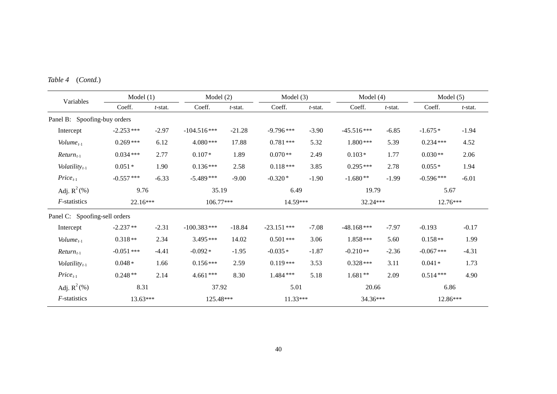| Variables                     | Model $(1)$  |            | Model $(2)$   |            | Model $(3)$   |            | Model $(4)$   |               | Model $(5)$  |            |
|-------------------------------|--------------|------------|---------------|------------|---------------|------------|---------------|---------------|--------------|------------|
|                               | Coeff.       | $t$ -stat. | Coeff.        | $t$ -stat. | Coeff.        | $t$ -stat. | Coeff.        | $t$ -stat.    | Coeff.       | $t$ -stat. |
| Panel B: Spoofing-buy orders  |              |            |               |            |               |            |               |               |              |            |
| Intercept                     | $-2.253$ *** | $-2.97$    | $-104.516***$ | $-21.28$   | $-9.796***$   | $-3.90$    | $-45.516***$  | $-6.85$       | $-1.675*$    | $-1.94$    |
| Volume $_{t-1}$               | $0.269***$   | 6.12       | 4.080***      | 17.88      | $0.781***$    | 5.32       | $1.800***$    | 5.39          | $0.234***$   | 4.52       |
| $Return_{t-1}$                | $0.034***$   | 2.77       | $0.107*$      | 1.89       | $0.070**$     | 2.49       | $0.103*$      | 1.77          | $0.030**$    | 2.06       |
| Volatility $t_{t-1}$          | $0.051*$     | 1.90       | $0.136***$    | 2.58       | $0.118***$    | 3.85       | $0.295***$    | 2.78          | $0.055*$     | 1.94       |
| $Price_{t-1}$                 | $-0.557$ *** | $-6.33$    | $-5.489***$   | $-9.00$    | $-0.320*$     | $-1.90$    | $-1.680**$    | $-1.99$       | $-0.596***$  | $-6.01$    |
| Adj. $R^2$ (%)                | 9.76         |            | 35.19         |            | 6.49          |            |               | 19.79<br>5.67 |              |            |
| $F$ -statistics               | 22.16***     |            | 106.77***     |            | 14.59***      |            | $32.24***$    |               | 12.76***     |            |
| Panel C: Spoofing-sell orders |              |            |               |            |               |            |               |               |              |            |
| Intercept                     | $-2.237**$   | $-2.31$    | $-100.383***$ | $-18.84$   | $-23.151$ *** | $-7.08$    | $-48.168$ *** | $-7.97$       | $-0.193$     | $-0.17$    |
| Volume <sub>t-1</sub>         | $0.318**$    | 2.34       | 3.495***      | 14.02      | $0.501***$    | 3.06       | $1.858***$    | 5.60          | $0.158**$    | 1.99       |
| $Return_{t-1}$                | $-0.051$ *** | $-4.41$    | $-0.092*$     | $-1.95$    | $-0.035*$     | $-1.87$    | $-0.210**$    | $-2.36$       | $-0.067$ *** | $-4.31$    |
| Volatility $t_{t-1}$          | $0.048*$     | 1.66       | $0.156***$    | 2.59       | $0.119***$    | 3.53       | $0.328***$    | 3.11          | $0.041*$     | 1.73       |
| $Price_{t-1}$                 | $0.248**$    | 2.14       | $4.661***$    | 8.30       | 1.484 ***     | 5.18       | $1.681**$     | 2.09          | $0.514***$   | 4.90       |
| Adj. $R^2$ (%)                | 8.31         |            | 37.92         |            | 5.01          |            | 20.66         |               | 6.86         |            |
| $F$ -statistics               | $13.63***$   |            | 125.48***     |            | $11.33***$    |            | 34.36***      |               | $12.86***$   |            |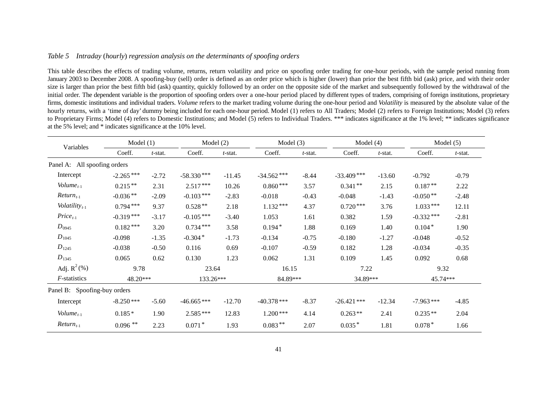#### *Table 5 Intraday* (*hourly*) *regression analysis on the determinants of spoofing orders*

This table describes the effects of trading volume, returns, return volatility and price on spoofing order trading for one-hour periods, with the sample period running from January 2003 to December 2008. A spoofing-buy (sell) order is defined as an order price which is higher (lower) than prior the best fifth bid (ask) price, and with their order size is larger than prior the best fifth bid (ask) quantity, quickly followed by an order on the opposite side of the market and subsequently followed by the withdrawal of the initial order. The dependent variable is the proportion of spoofing orders over a one-hour period placed by different types of traders, comprising of foreign institutions, proprietary firms, domestic institutions and individual traders. *Volume* refers to the market trading volume during the one-hour period and *Volatility* is measured by the absolute value of the hourly returns, with a 'time of day' dummy being included for each one-hour period. Model (1) refers to All Traders; Model (2) refers to Foreign Institutions; Model (3) refers to Proprietary Firms; Model (4) refers to Domestic Institutions; and Model (5) refers to Individual Traders. \*\*\* indicates significance at the 1% level; \*\* indicates significance at the 5% level; and \* indicates significance at the 10% level.

| Variables                    | Model (1)   |            | Model (2)    |            | Model $(3)$   |            | Model $(4)$   |          |             | Model $(5)$ |
|------------------------------|-------------|------------|--------------|------------|---------------|------------|---------------|----------|-------------|-------------|
|                              | Coeff.      | $t$ -stat. | Coeff.       | $t$ -stat. | Coeff.        | $t$ -stat. | Coeff.        | t-stat.  | Coeff.      | $t$ -stat.  |
| Panel A: All spoofing orders |             |            |              |            |               |            |               |          |             |             |
| Intercept                    | $-2.265***$ | $-2.72$    | $-58.330***$ | $-11.45$   | $-34.562$ *** | $-8.44$    | $-33.409$ *** | $-13.60$ | $-0.792$    | $-0.79$     |
| Volume <sub>t-1</sub>        | $0.215***$  | 2.31       | $2.517***$   | 10.26      | $0.860***$    | 3.57       | $0.341**$     | 2.15     | $0.187**$   | 2.22        |
| $Return_{t-1}$               | $-0.036**$  | $-2.09$    | $-0.103***$  | $-2.83$    | $-0.018$      | $-0.43$    | $-0.048$      | $-1.43$  | $-0.050**$  | $-2.48$     |
| Volatility $_{t-1}$          | $0.794***$  | 9.37       | $0.528**$    | 2.18       | $1.132***$    | 4.37       | $0.720***$    | 3.76     | $1.033***$  | 12.11       |
| $Price_{t-1}$                | $-0.319***$ | $-3.17$    | $-0.105***$  | $-3.40$    | 1.053         | 1.61       | 0.382         | 1.59     | $-0.332***$ | $-2.81$     |
| $D_{0945}$                   | $0.182***$  | 3.20       | $0.734***$   | 3.58       | $0.194*$      | 1.88       | 0.169         | 1.40     | $0.104*$    | 1.90        |
| $D_{1045}$                   | $-0.098$    | $-1.35$    | $-0.304*$    | $-1.73$    | $-0.134$      | $-0.75$    | $-0.180$      | $-1.27$  | $-0.048$    | $-0.52$     |
| $D_{1245}$                   | $-0.038$    | $-0.50$    | 0.116        | 0.69       | $-0.107$      | $-0.59$    | 0.182         | 1.28     | $-0.034$    | $-0.35$     |
| $D_{1345}$                   | 0.065       | 0.62       | 0.130        | 1.23       | 0.062         | 1.31       | 0.109         | 1.45     | 0.092       | 0.68        |
| Adj. $R^2$ (%)               | 9.78        |            | 23.64        |            | 16.15         |            | 7.22          |          | 9.32        |             |
| <i>F</i> -statistics         | 48.20***    |            | 133.26***    |            | 84.89***      |            | 34.89***      |          | 45.74***    |             |
| Panel B: Spoofing-buy orders |             |            |              |            |               |            |               |          |             |             |
| Intercept                    | $-8.250***$ | $-5.60$    | $-46.665***$ | $-12.70$   | $-40.378$ *** | $-8.37$    | $-26.421$ *** | $-12.34$ | $-7.963***$ | $-4.85$     |
| Volume <sub>t-1</sub>        | $0.185*$    | 1.90       | $2.585***$   | 12.83      | $1.200***$    | 4.14       | $0.263**$     | 2.41     | $0.235**$   | 2.04        |
| $Return_{t-1}$               | $0.096$ **  | 2.23       | $0.071*$     | 1.93       | $0.083**$     | 2.07       | $0.035*$      | 1.81     | $0.078*$    | 1.66        |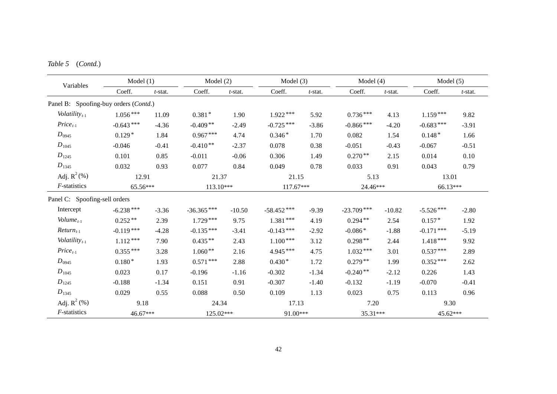| Variables<br>Volatility $t_{t-1}$<br>$Price_{t-1}$<br>$D_{0945}$<br>$D_{1045}$<br>$D_{1245}$<br>$D_{1345}$<br>Adj. $R^2$ (%)<br>$F$ -statistics<br>Intercept<br>Volume <sub><math>t-1</math></sub><br>$Return_{t-1}$<br>Volatility $_{t-1}$<br>$Price_{t-1}$<br>$D_{0945}$<br>$D_{1045}$<br>$D_{1245}$ | Model (1)   |            | Model $(2)$  |            | Model $(3)$   |            | Model $(4)$   |            | Model $(5)$  |            |
|--------------------------------------------------------------------------------------------------------------------------------------------------------------------------------------------------------------------------------------------------------------------------------------------------------|-------------|------------|--------------|------------|---------------|------------|---------------|------------|--------------|------------|
|                                                                                                                                                                                                                                                                                                        | Coeff.      | $t$ -stat. | Coeff.       | $t$ -stat. | Coeff.        | $t$ -stat. | Coeff.        | $t$ -stat. | Coeff.       | $t$ -stat. |
| Panel B: Spoofing-buy orders (Contd.)                                                                                                                                                                                                                                                                  |             |            |              |            |               |            |               |            |              |            |
|                                                                                                                                                                                                                                                                                                        | $1.056***$  | 11.09      | $0.381*$     | 1.90       | $1.922***$    | 5.92       | $0.736***$    | 4.13       | $1.159***$   | 9.82       |
|                                                                                                                                                                                                                                                                                                        | $-0.643***$ | $-4.36$    | $-0.409**$   | $-2.49$    | $-0.725***$   | $-3.86$    | $-0.866$ ***  | $-4.20$    | $-0.683***$  | $-3.91$    |
|                                                                                                                                                                                                                                                                                                        | $0.129*$    | 1.84       | $0.967***$   | 4.74       | $0.346*$      | 1.70       | 0.082         | 1.54       | $0.148*$     | 1.66       |
|                                                                                                                                                                                                                                                                                                        | $-0.046$    | $-0.41$    | $-0.410**$   | $-2.37$    | 0.078         | 0.38       | $-0.051$      | $-0.43$    | $-0.067$     | $-0.51$    |
|                                                                                                                                                                                                                                                                                                        | 0.101       | 0.85       | $-0.011$     | $-0.06$    | 0.306         | 1.49       | $0.270**$     | 2.15       | 0.014        | 0.10       |
|                                                                                                                                                                                                                                                                                                        | 0.032       | 0.93       | 0.077        | 0.84       | 0.049         | 0.78       | 0.033         | 0.91       | 0.043        | 0.79       |
|                                                                                                                                                                                                                                                                                                        | 12.91       |            | 21.37        |            | 21.15         |            | 5.13          |            | 13.01        |            |
|                                                                                                                                                                                                                                                                                                        | 65.56***    |            | 113.10***    |            | $117.67***$   | 24.46***   |               |            | 66.13***     |            |
| Panel C: Spoofing-sell orders                                                                                                                                                                                                                                                                          |             |            |              |            |               |            |               |            |              |            |
|                                                                                                                                                                                                                                                                                                        | $-6.238***$ | $-3.36$    | $-36.365***$ | $-10.50$   | $-58.452$ *** | $-9.39$    | $-23.709$ *** | $-10.82$   | $-5.526***$  | $-2.80$    |
|                                                                                                                                                                                                                                                                                                        | $0.252**$   | 2.39       | $1.729***$   | 9.75       | $1.381***$    | 4.19       | $0.294**$     | 2.54       | $0.157*$     | 1.92       |
|                                                                                                                                                                                                                                                                                                        | $-0.119***$ | $-4.28$    | $-0.135***$  | $-3.41$    | $-0.143***$   | $-2.92$    | $-0.086*$     | $-1.88$    | $-0.171$ *** | $-5.19$    |
|                                                                                                                                                                                                                                                                                                        | $1.112***$  | 7.90       | $0.435**$    | 2.43       | $1.100***$    | 3.12       | $0.298**$     | 2.44       | $1.418***$   | 9.92       |
|                                                                                                                                                                                                                                                                                                        | $0.355***$  | 3.28       | $1.060**$    | 2.16       | 4.945 ***     | 4.75       | $1.032***$    | 3.01       | $0.537***$   | 2.89       |
|                                                                                                                                                                                                                                                                                                        | $0.180*$    | 1.93       | $0.571***$   | 2.88       | $0.430*$      | 1.72       | $0.279**$     | 1.99       | $0.352***$   | 2.62       |
|                                                                                                                                                                                                                                                                                                        | 0.023       | 0.17       | $-0.196$     | $-1.16$    | $-0.302$      | $-1.34$    | $-0.240**$    | $-2.12$    | 0.226        | 1.43       |
|                                                                                                                                                                                                                                                                                                        | $-0.188$    | $-1.34$    | 0.151        | 0.91       | $-0.307$      | $-1.40$    | $-0.132$      | $-1.19$    | $-0.070$     | $-0.41$    |
| $D_{1345}$                                                                                                                                                                                                                                                                                             | 0.029       | 0.55       | 0.088        | 0.50       | 0.109         | 1.13       | 0.023         | 0.75       | 0.113        | 0.96       |
| Adj. $R^2$ (%)                                                                                                                                                                                                                                                                                         | 9.18        |            | 24.34        |            | 17.13         |            | 7.20          |            | 9.30         |            |
| $F$ -statistics                                                                                                                                                                                                                                                                                        | 46.67***    |            | 125.02***    |            | 91.00***      |            | 35.31***      |            | 45.62***     |            |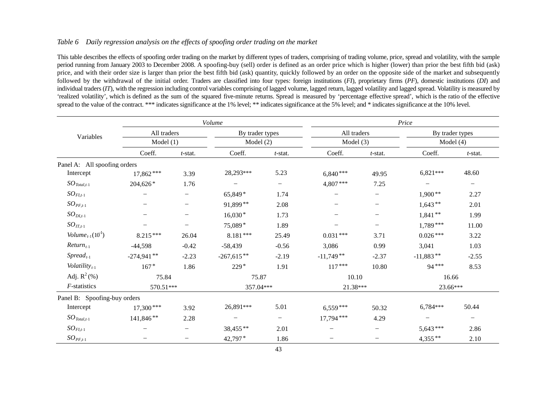#### *Table 6 Daily regression analysis on the effects of spoofing order trading on the market*

This table describes the effects of spoofing order trading on the market by different types of traders, comprising of trading volume, price, spread and volatility, with the sample period running from January 2003 to December 2008. A spoofing-buy (sell) order is defined as an order price which is higher (lower) than prior the best fifth bid (ask) price, and with their order size is larger than prior the best fifth bid (ask) quantity, quickly followed by an order on the opposite side of the market and subsequently followed by the withdrawal of the initial order. Traders are classified into four types: foreign institutions (*FI*), proprietary firms (*PF*), domestic institutions (*DI*) and individual traders (*IT*), with the regression including control variables comprising of lagged volume, lagged return, lagged volatility and lagged spread. Volatility is measured by 'realized volatility', which is defined as the sum of the squared five-minute returns. Spread is measured by 'percentage effective spread', which is the ratio of the effective spread to the value of the contract. \*\*\* indicates significance at the 1% level; \*\* indicates significance at the 5% level; and \* indicates significance at the 10% level.

|                                                                                                                                                                                                                                                                                                                                                           |              |                          | Volume                   |                          |                          |                   | Price                    |                          |
|-----------------------------------------------------------------------------------------------------------------------------------------------------------------------------------------------------------------------------------------------------------------------------------------------------------------------------------------------------------|--------------|--------------------------|--------------------------|--------------------------|--------------------------|-------------------|--------------------------|--------------------------|
|                                                                                                                                                                                                                                                                                                                                                           | All traders  |                          | By trader types          |                          | All traders              |                   | By trader types          |                          |
| Variables<br>Panel A: All spoofing orders<br>Intercept<br>$SO_{\text{Total},t-1}$<br>$SO_{FI,t-1}$<br>$SO_{PF,t-1}$<br>$SO_{DI,t-1}$<br>$SO_{IT,t-1}$<br>Volume <sub>t-1</sub> $(10^{-1})$<br>$Return_{t-1}$<br>$S$ <i>pread</i> <sub><math>t-1</math></sub><br>Volatility $t_{t-1}$<br>Adj. $R^2$ (%)<br>$F$ -statistics<br>Panel B: Spoofing-buy orders | Model(1)     |                          | Model $(2)$              |                          | Model $(3)$              |                   | Model $(4)$              |                          |
|                                                                                                                                                                                                                                                                                                                                                           | Coeff.       | $t$ -stat.               | Coeff.                   | $t$ -stat.               | Coeff.                   | $t$ -stat.        | Coeff.                   | $t$ -stat.               |
|                                                                                                                                                                                                                                                                                                                                                           |              |                          |                          |                          |                          |                   |                          |                          |
|                                                                                                                                                                                                                                                                                                                                                           | $17,862***$  | 3.39                     | 28,293***                | 5.23                     | $6,840***$               | 49.95             | $6,821***$               | 48.60                    |
|                                                                                                                                                                                                                                                                                                                                                           | 204,626*     | 1.76                     | $\qquad \qquad -$        | $\qquad \qquad -$        | $4,807***$               | 7.25              | $\overline{\phantom{0}}$ | $\qquad \qquad -$        |
|                                                                                                                                                                                                                                                                                                                                                           |              |                          | 65,849*                  | 1.74                     | -                        |                   | $1,900**$                | 2.27                     |
|                                                                                                                                                                                                                                                                                                                                                           |              |                          | 91,899**                 | 2.08                     | —                        | —                 | $1,643**$                | 2.01                     |
|                                                                                                                                                                                                                                                                                                                                                           |              |                          | $16,030*$                | 1.73                     | —                        | $\qquad \qquad -$ | $1,841**$                | 1.99                     |
|                                                                                                                                                                                                                                                                                                                                                           |              | $\overline{\phantom{0}}$ | 75,089*                  | 1.89                     | $\overline{\phantom{0}}$ | —                 | $1,789***$               | 11.00                    |
|                                                                                                                                                                                                                                                                                                                                                           | $8.215***$   | 26.04                    | $8.181***$               | 25.49                    | $0.031***$               | 3.71              | $0.026***$               | 3.22                     |
|                                                                                                                                                                                                                                                                                                                                                           | $-44,598$    | $-0.42$                  | $-58,439$                | $-0.56$                  | 3,086                    | 0.99              | 3,041                    | 1.03                     |
|                                                                                                                                                                                                                                                                                                                                                           | $-274,941**$ | $-2.23$                  | $-267,615**$             | $-2.19$                  | $-11,749**$              | $-2.37$           | $-11,883**$              | $-2.55$                  |
|                                                                                                                                                                                                                                                                                                                                                           | $167*$       | 1.86                     | $229*$                   | 1.91                     | $117***$                 | 10.80             | 94***                    | 8.53                     |
|                                                                                                                                                                                                                                                                                                                                                           | 75.84        |                          | 75.87                    |                          | 10.10                    |                   | 16.66                    |                          |
|                                                                                                                                                                                                                                                                                                                                                           | 570.51***    |                          | 357.04***                |                          | 21.38***                 |                   | 23.66***                 |                          |
|                                                                                                                                                                                                                                                                                                                                                           |              |                          |                          |                          |                          |                   |                          |                          |
| Intercept                                                                                                                                                                                                                                                                                                                                                 | $17,300***$  | 3.92                     | 26,891***                | 5.01                     | $6,559***$               | 50.32             | 6,784***                 | 50.44                    |
| $SO_{\text{Total},t-1}$                                                                                                                                                                                                                                                                                                                                   | 141,846**    | 2.28                     | $\overline{\phantom{0}}$ | $\overline{\phantom{0}}$ | $17,794$ ***             | 4.29              | $\qquad \qquad -$        | $\overline{\phantom{m}}$ |
| $SO_{FI,t-1}$                                                                                                                                                                                                                                                                                                                                             |              |                          | 38,455**                 | 2.01                     |                          |                   | $5,643***$               | 2.86                     |
| $SO_{PF,t-1}$                                                                                                                                                                                                                                                                                                                                             |              | $\overline{\phantom{0}}$ | 42,797*                  | 1.86                     | $\overline{\phantom{0}}$ |                   | $4,355***$               | 2.10                     |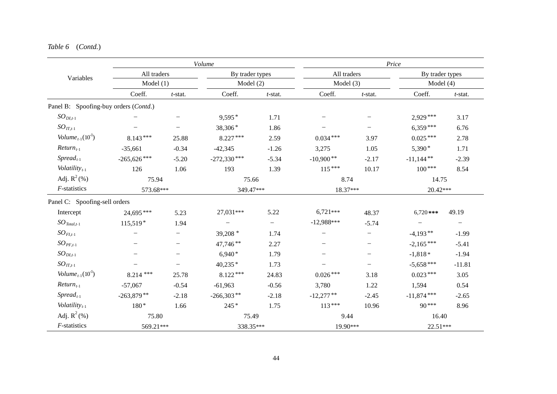|                                              |               |                          | Volume          |            |              |                          | Price           |            |
|----------------------------------------------|---------------|--------------------------|-----------------|------------|--------------|--------------------------|-----------------|------------|
| Variables                                    | All traders   |                          | By trader types |            | All traders  |                          | By trader types |            |
|                                              | Model(1)      |                          | Model (2)       |            | Model $(3)$  |                          | Model $(4)$     |            |
|                                              | Coeff.        | $t$ -stat.               | Coeff.          | $t$ -stat. | Coeff.       | $t$ -stat.               | Coeff.          | $t$ -stat. |
| Panel B: Spoofing-buy orders (Contd.)        |               |                          |                 |            |              |                          |                 |            |
| $SO_{DI,t-1}$                                |               |                          | $9,595*$        | 1.71       |              |                          | $2,929***$      | 3.17       |
| $SO_{IT,t-1}$                                |               |                          | 38,306*         | 1.86       |              |                          | $6,359***$      | 6.76       |
| Volume <sub>t-1</sub> $(10^{-1})$            | $8.143***$    | 25.88                    | $8.227***$      | 2.59       | $0.034***$   | 3.97                     | $0.025***$      | 2.78       |
| $Return_{t-1}$                               | $-35,661$     | $-0.34$                  | $-42,345$       | $-1.26$    | 3,275        | 1.05                     | $5,390*$        | 1.71       |
| $Spread_{t-1}$                               | $-265,626***$ | $-5.20$                  | $-272,330***$   | $-5.34$    | $-10,900**$  | $-2.17$                  | $-11,144$ **    | $-2.39$    |
| Volatility $_{t-1}$                          | 126           | 1.06                     | 193             | 1.39       | $115***$     | 10.17                    | $100***$        | 8.54       |
| Adj. $R^2$ (%)                               | 75.94         |                          | 75.66           |            | 8.74         |                          | 14.75           |            |
| $F$ -statistics                              | 573.68***     |                          | 349.47***       |            | 18.37***     |                          | 20.42***        |            |
| Panel C: Spoofing-sell orders                |               |                          |                 |            |              |                          |                 |            |
| Intercept                                    | 24,695***     | 5.23                     | 27,031***       | 5.22       | $6,721***$   | 48.37                    | $6,720$ ***     | 49.19      |
| $SO_{\text{Total},t-1}$                      | $115,519*$    | 1.94                     |                 |            | $-12,988***$ | $-5.74$                  |                 |            |
| $SO_{FI,t-1}$                                |               | $\overline{\phantom{0}}$ | 39,208 *        | 1.74       | $-$          | $\overline{\phantom{0}}$ | $-4,193**$      | $-1.99$    |
| $SO_{PF,t-1}$                                |               | -                        | 47,746**        | 2.27       |              | $\overline{\phantom{m}}$ | $-2,165***$     | $-5.41$    |
| $SO_{DI,t-1}$                                |               |                          | $6,940*$        | 1.79       |              | $\overline{\phantom{0}}$ | $-1,818*$       | $-1.94$    |
| $SO_{IT,t-1}$                                |               | $\overline{\phantom{0}}$ | $40,235*$       | 1.73       |              | -                        | $-5,658***$     | $-11.81$   |
| Volume <sub>t-1</sub> $(10^{-1})$            | $8.214***$    | 25.78                    | $8.122***$      | 24.83      | $0.026***$   | 3.18                     | $0.023***$      | 3.05       |
| $Return_{t-1}$                               | $-57,067$     | $-0.54$                  | $-61,963$       | $-0.56$    | 3,780        | 1.22                     | 1,594           | 0.54       |
| $S$ <i>pread</i> <sub><math>t-1</math></sub> | $-263,879**$  | $-2.18$                  | $-266,303**$    | $-2.18$    | $-12,277**$  | $-2.45$                  | $-11,874$ ***   | $-2.65$    |
| Volatility $_{t-1}$                          | $180*$        | 1.66                     | $245*$          | 1.75       | $113***$     | 10.96                    | $90***$         | 8.96       |
| Adj. $R^2$ (%)                               | 75.80         |                          | 75.49           |            | 9.44         |                          | 16.40           |            |
| $F$ -statistics                              | 569.21***     |                          | 338.35***       |            | 19.90***     |                          | 22.51***        |            |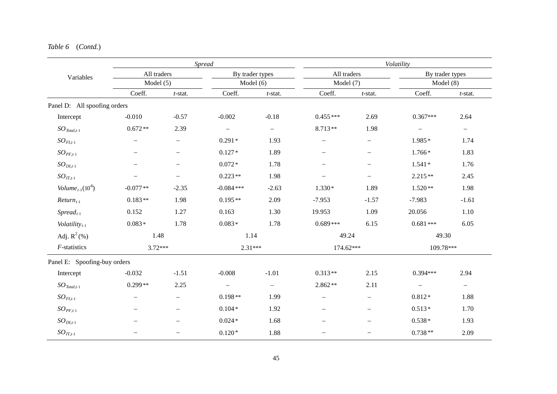|                                              |                          |                          | Spread                   |                          |                          |                          | Volatility               |                          |
|----------------------------------------------|--------------------------|--------------------------|--------------------------|--------------------------|--------------------------|--------------------------|--------------------------|--------------------------|
| Variables                                    | All traders              |                          | By trader types          |                          | All traders              |                          | By trader types          |                          |
|                                              | Model $(5)$              |                          | Model $(6)$              |                          | Model $(7)$              |                          | Model(8)                 |                          |
|                                              | Coeff.                   | $t$ -stat.               | Coeff.                   | $t$ -stat.               | Coeff.                   | $t$ -stat.               | Coeff.                   | $t$ -stat.               |
| Panel D: All spoofing orders                 |                          |                          |                          |                          |                          |                          |                          |                          |
| Intercept                                    | $-0.010$                 | $-0.57$                  | $-0.002$                 | $-0.18$                  | $0.455***$               | 2.69                     | $0.367***$               | 2.64                     |
| $SO_{\text{Total},t-1}$                      | $0.672**$                | 2.39                     | $\overline{\phantom{m}}$ | $\overline{\phantom{0}}$ | 8.713**                  | 1.98                     | $\overline{\phantom{m}}$ | $\overline{\phantom{0}}$ |
| $SO_{FI,t-1}$                                |                          | $\overline{\phantom{0}}$ | $0.291*$                 | 1.93                     | $\qquad \qquad -$        |                          | $1.985*$                 | 1.74                     |
| $SO_{PF,t-1}$                                |                          |                          | $0.127*$                 | 1.89                     | $\overline{\phantom{0}}$ |                          | $1.766*$                 | 1.83                     |
| $SO_{DI,t-1}$                                |                          |                          | $0.072*$                 | 1.78                     | $\qquad \qquad -$        | $\overline{\phantom{0}}$ | $1.541*$                 | 1.76                     |
| $SO_{IT,t-1}$                                |                          |                          | $0.223**$                | 1.98                     | $\overline{\phantom{0}}$ | $\overline{\phantom{0}}$ | $2.215**$                | 2.45                     |
| Volume <sub>t-1</sub> $(10^6)$               | $-0.077**$               | $-2.35$                  | $-0.084$ ***             | $-2.63$                  | $1.330*$                 | 1.89                     | $1.520**$                | 1.98                     |
| $Return_{t-1}$                               | $0.183**$                | 1.98                     | $0.195**$                | 2.09                     | $-7.953$                 | $-1.57$                  | $-7.983$                 | $-1.61$                  |
| $S$ <i>pread</i> <sub><math>t-1</math></sub> | 0.152                    | 1.27                     | 0.163                    | 1.30                     | 19.953                   | 1.09                     | 20.056                   | 1.10                     |
| Volatility $_{t-1}$                          | $0.083*$                 | 1.78                     | $0.083*$                 | 1.78                     | $0.689***$               | 6.15                     | $0.681***$               | 6.05                     |
| Adj. $R^2$ (%)                               | 1.48                     |                          | 1.14                     |                          | 49.24                    |                          | 49.30                    |                          |
| $F$ -statistics                              | $3.72***$                |                          | $2.31***$                |                          | 174.62***                |                          | 109.78***                |                          |
| Panel E: Spoofing-buy orders                 |                          |                          |                          |                          |                          |                          |                          |                          |
| Intercept                                    | $-0.032$                 | $-1.51$                  | $-0.008$                 | $-1.01$                  | $0.313**$                | 2.15                     | $0.394***$               | 2.94                     |
| $SO_{\text{Total},t-1}$                      | $0.299**$                | 2.25                     | $\overline{\phantom{m}}$ | $\overline{\phantom{0}}$ | $2.862**$                | 2.11                     | $\overline{\phantom{m}}$ | $\overline{\phantom{0}}$ |
| $SO_{FI,t-1}$                                | $\overline{\phantom{0}}$ | $\qquad \qquad -$        | $0.198**$                | 1.99                     | -                        | $\overline{\phantom{0}}$ | $0.812*$                 | 1.88                     |
| $SO_{PF,t-1}$                                |                          | $\overline{\phantom{0}}$ | $0.104*$                 | 1.92                     | $\overline{\phantom{0}}$ | $\overline{\phantom{0}}$ | $0.513*$                 | 1.70                     |
| $SO_{DI,t-1}$                                |                          |                          | $0.024*$                 | 1.68                     | $\overline{\phantom{0}}$ |                          | $0.538*$                 | 1.93                     |
| $SO_{IT,t-1}$                                |                          |                          | $0.120*$                 | 1.88                     | $\overline{\phantom{0}}$ | $\overline{\phantom{0}}$ | $0.738**$                | 2.09                     |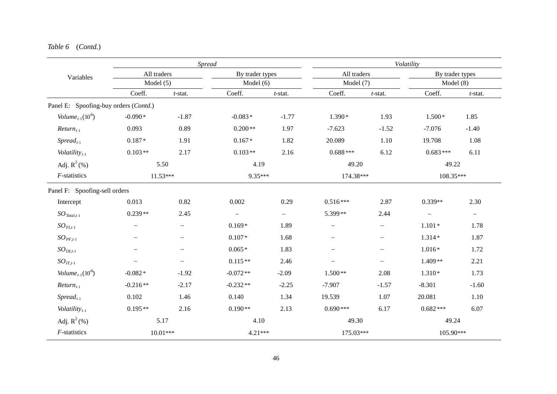|                                              |                          | <b>Spread</b>            |                          |            |                          |                          | Volatility      |            |
|----------------------------------------------|--------------------------|--------------------------|--------------------------|------------|--------------------------|--------------------------|-----------------|------------|
| Variables                                    | All traders              |                          | By trader types          |            | All traders              |                          | By trader types |            |
|                                              | Model $(5)$              |                          | Model $(6)$              |            | Model $(7)$              |                          | Model(8)        |            |
|                                              | Coeff.                   | $t$ -stat.               | Coeff.                   | $t$ -stat. | Coeff.                   | $t$ -stat.               | Coeff.          | $t$ -stat. |
| Panel E: Spoofing-buy orders (Contd.)        |                          |                          |                          |            |                          |                          |                 |            |
| Volume <sub>t-1</sub> $(10^6)$               | $-0.090*$                | $-1.87$                  | $-0.083*$                | $-1.77$    | $1.390*$                 | 1.93                     | $1.500*$        | 1.85       |
| $Return_{t-1}$                               | 0.093                    | 0.89                     | $0.200**$                | 1.97       | $-7.623$                 | $-1.52$                  | $-7.076$        | $-1.40$    |
| $S$ <i>pread</i> <sub><math>t-1</math></sub> | $0.187*$                 | 1.91                     | $0.167*$                 | 1.82       | 20.089                   | 1.10                     | 19.708          | 1.08       |
| Volatility $_{t-1}$                          | $0.103**$                | 2.17                     | $0.103**$                | 2.16       | $0.688***$               | 6.12                     | $0.683***$      | 6.11       |
| Adj. $R^2$ (%)                               |                          | 5.50                     | 4.19                     |            | 49.20                    |                          | 49.22           |            |
| $F$ -statistics                              |                          | $11.53***$               | 9.35***                  |            | 174.38***                |                          | 108.35***       |            |
| Panel F: Spoofing-sell orders                |                          |                          |                          |            |                          |                          |                 |            |
| Intercept                                    | 0.013                    | 0.82                     | 0.002                    | 0.29       | $0.516***$               | 2.87                     | $0.339**$       | 2.30       |
| $SO_{\text{Total},t-1}$                      | $0.239**$                | 2.45                     | $\overline{\phantom{m}}$ | $-$        | 5.399**                  | 2.44                     |                 | $-$        |
| $SO_{FI,t-1}$                                |                          | $\qquad \qquad -$        | $0.169*$                 | 1.89       | $\overline{\phantom{0}}$ | $\qquad \qquad -$        | $1.101*$        | 1.78       |
| $SO_{PF,t-1}$                                |                          | $\overline{\phantom{0}}$ | $0.107*$                 | 1.68       | $\overline{\phantom{0}}$ | $\overline{\phantom{0}}$ | $1.314*$        | 1.87       |
| $SO_{DI,t-1}$                                |                          |                          | $0.065*$                 | 1.83       |                          | $\overline{\phantom{m}}$ | $1.016*$        | 1.72       |
| $SO_{IT,t-1}$                                | $\overline{\phantom{0}}$ | $\overline{\phantom{0}}$ | $0.115**$                | 2.46       |                          |                          | $1.409**$       | 2.21       |
| Volume <sub>t-1</sub> $(10^6)$               | $-0.082*$                | $-1.92$                  | $-0.072**$               | $-2.09$    | $1.500**$                | 2.08                     | $1.310*$        | 1.73       |
| $Return_{t-1}$                               | $-0.216**$               | $-2.17$                  | $-0.232**$               | $-2.25$    | $-7.907$                 | $-1.57$                  | $-8.301$        | $-1.60$    |
| $S$ <i>pread</i> <sub><math>t-1</math></sub> | 0.102                    | 1.46                     | 0.140                    | 1.34       | 19.539                   | 1.07                     | 20.081          | 1.10       |
| Volatility $_{t-1}$                          | $0.195**$                | 2.16                     | $0.190**$                | 2.13       | $0.690***$               | 6.17                     | $0.682***$      | 6.07       |
| Adj. $R^2$ (%)                               |                          | 5.17                     | 4.10                     |            | 49.30                    |                          | 49.24           |            |
| $F$ -statistics                              |                          | $10.01***$               | 4.21***                  |            | 175.03***                |                          | 105.90***       |            |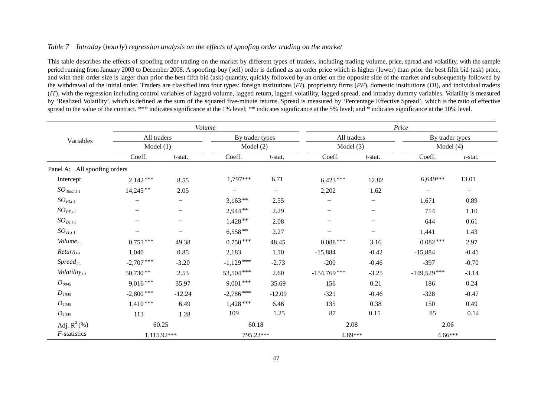#### *Table 7 Intraday* (*hourly*) *regression analysis on the effects of spoofing order trading on the market*

This table describes the effects of spoofing order trading on the market by different types of traders, including trading volume, price, spread and volatility, with the sample period running from January 2003 to December 2008. A spoofing-buy (sell) order is defined as an order price which is higher (lower) than prior the best fifth bid (ask) price, and with their order size is larger than prior the best fifth bid (ask) quantity, quickly followed by an order on the opposite side of the market and subsequently followed by the withdrawal of the initial order. Traders are classified into four types: foreign institutions (*FI*), proprietary firms (*PF*), domestic institutions (*DI*), and individual traders (*IT*), with the regression including control variables of lagged volume, lagged return, lagged volatility, lagged spread, and intraday dummy variables. Volatility is measured by 'Realized Volatility', which is defined as the sum of the squared five-minute returns. Spread is measured by 'Percentage Effective Spread', which is the ratio of effective spread to the value of the contract. \*\*\* indicates significance at the 1% level; \*\* indicates significance at the 5% level; and \* indicates significance at the 10% level.

|                                                                                                                                                                                                                                                                                                                                                              |                          | Volume                   |                 |                   |                   |                          | Price           |                          |  |  |
|--------------------------------------------------------------------------------------------------------------------------------------------------------------------------------------------------------------------------------------------------------------------------------------------------------------------------------------------------------------|--------------------------|--------------------------|-----------------|-------------------|-------------------|--------------------------|-----------------|--------------------------|--|--|
| Variables<br>Panel A: All spoofing orders<br>Intercept<br>$SO_{\text{Total},t-1}$<br>$SO_{FI,t-1}$<br>$SO_{PF,t-1}$<br>$SO_{DI,t-1}$<br>$SO_{IT,t-1}$<br>Volume $_{t-1}$<br>$Return_{t-1}$<br>$S$ <i>pread</i> <sub><math>t-1</math></sub><br>Volatility $t_{t-1}$<br>$D_{0945}$<br>$D_{1045}$<br>$D_{1245}$<br>$D_{1345}$<br>Adj. $R^2$ (%)<br>F-statistics | All traders              |                          | By trader types |                   | All traders       |                          | By trader types |                          |  |  |
|                                                                                                                                                                                                                                                                                                                                                              | Model(1)                 |                          | Model $(2)$     |                   | Model $(3)$       |                          | Model $(4)$     |                          |  |  |
|                                                                                                                                                                                                                                                                                                                                                              | Coeff.<br>$t$ -stat.     |                          | Coeff.          | $t$ -stat.        | Coeff.            | $t$ -stat.               |                 | $t$ -stat.               |  |  |
|                                                                                                                                                                                                                                                                                                                                                              |                          |                          |                 |                   |                   |                          |                 |                          |  |  |
|                                                                                                                                                                                                                                                                                                                                                              | $2,142***$               | 8.55                     | 1,797***        | 6.71              | $6,423***$        | 12.82                    | 6,649***        | 13.01                    |  |  |
|                                                                                                                                                                                                                                                                                                                                                              | $14,245**$               | 2.05                     | —               | $\qquad \qquad -$ | 2,202             | 1.62                     |                 | $\overline{\phantom{0}}$ |  |  |
|                                                                                                                                                                                                                                                                                                                                                              | $\overline{\phantom{0}}$ | $\qquad \qquad -$        | $3,163**$       | 2.55              |                   | -                        | 1,671           | 0.89                     |  |  |
|                                                                                                                                                                                                                                                                                                                                                              |                          | $\overline{\phantom{0}}$ | $2,944**$       | 2.29              | $\qquad \qquad -$ | $\qquad \qquad -$        | 714             | 1.10                     |  |  |
|                                                                                                                                                                                                                                                                                                                                                              |                          | -                        | $1,428**$       | 2.08              |                   | $\overline{\phantom{0}}$ | 644             | 0.61                     |  |  |
|                                                                                                                                                                                                                                                                                                                                                              |                          | $\overline{\phantom{0}}$ | $6,558**$       | 2.27              |                   | -                        | 1,441           | 1.43                     |  |  |
|                                                                                                                                                                                                                                                                                                                                                              | $0.751***$               | 49.38                    | $0.750***$      | 48.45             | $0.088^{\,***}$   | 3.16                     | $0.082***$      | 2.97                     |  |  |
|                                                                                                                                                                                                                                                                                                                                                              | 1,040                    | 0.85                     | 2,183           | 1.10              | $-15,884$         | $-0.42$                  | $-15,884$       | $-0.41$                  |  |  |
|                                                                                                                                                                                                                                                                                                                                                              | $-2,707$ ***             | $-3.20$                  | $-1,129***$     | $-2.73$           | $-200$            | $-0.46$                  | $-397$          | $-0.70$                  |  |  |
|                                                                                                                                                                                                                                                                                                                                                              | $50,730**$               | 2.53                     | 53,504***       | 2.60              | $-154,769$ ***    | $-3.25$                  | $-149,529***$   | $-3.14$                  |  |  |
|                                                                                                                                                                                                                                                                                                                                                              | $9,016***$               | 35.97                    | $9,001***$      | 35.69             | 156               | 0.21                     | 186             | 0.24                     |  |  |
|                                                                                                                                                                                                                                                                                                                                                              | $-2,800***$              | $-12.24$                 | $-2,786***$     | $-12.09$          | $-321$            | $-0.46$                  | $-328$          | $-0.47$                  |  |  |
|                                                                                                                                                                                                                                                                                                                                                              | $1,410***$               | 6.49                     | $1,428***$      | 6.46              | 135               | 0.38                     | 150             | 0.49                     |  |  |
|                                                                                                                                                                                                                                                                                                                                                              | 113                      | 1.28                     | 109             | 1.25              | 87                | 0.15                     | 85              | 0.14                     |  |  |
|                                                                                                                                                                                                                                                                                                                                                              | 60.25                    |                          | 60.18           |                   | 2.08              |                          | 2.06            |                          |  |  |
|                                                                                                                                                                                                                                                                                                                                                              | 1,115.92***              |                          | 795.23***       |                   | 4.89***           |                          | $4.66***$       |                          |  |  |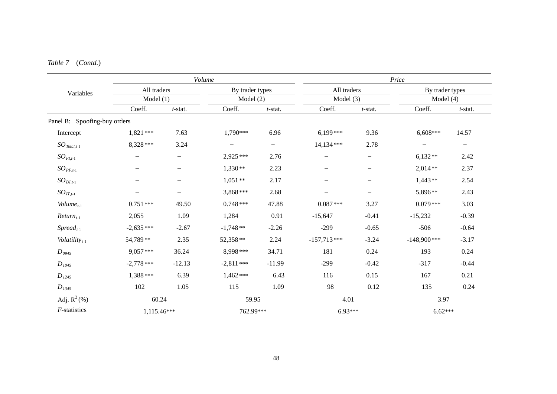|                                                                                                                                                                                                                                                                                                                                                                                                                                                                                                                                                                                                                                                                                                                                                                                     | Volume          |                   |                          |               |                                                                                                                                                                                                                                                                                                                                                                                                                                                                     |            |         |  |
|-------------------------------------------------------------------------------------------------------------------------------------------------------------------------------------------------------------------------------------------------------------------------------------------------------------------------------------------------------------------------------------------------------------------------------------------------------------------------------------------------------------------------------------------------------------------------------------------------------------------------------------------------------------------------------------------------------------------------------------------------------------------------------------|-----------------|-------------------|--------------------------|---------------|---------------------------------------------------------------------------------------------------------------------------------------------------------------------------------------------------------------------------------------------------------------------------------------------------------------------------------------------------------------------------------------------------------------------------------------------------------------------|------------|---------|--|
| All traders<br>Variables<br>Model $(1)$<br>Coeff.<br>$t$ -stat.<br>Panel B: Spoofing-buy orders<br>$1,821***$<br>7.63<br>Intercept<br>8,328***<br>3.24<br>$SO_{\text{Total},t-1}$<br>$SO_{FI,t-1}$<br>$\overline{\phantom{m}}$<br>$\qquad \qquad -$<br>$SO_{PF,t-1}$<br>—<br>$SO_{DI,t-1}$<br>$\overline{\phantom{0}}$<br>-<br>$SO_{IT,t-1}$<br>—<br>$\qquad \qquad -$<br>$Volume_{t-1}$<br>$0.751***$<br>49.50<br>2,055<br>1.09<br>$Return_{t-1}$<br>$-2,635***$<br>$-2.67$<br>$S$ <i>pread</i> <sub><math>t-1</math></sub><br>2.35<br>Volatility $_{t-1}$<br>54,789**<br>$9.057***$<br>36.24<br>$D_{0945}$<br>$-2,778$ ***<br>$-12.13$<br>$D_{1045}$<br>1,388 ***<br>6.39<br>$D_{1245}$<br>102<br>1.05<br>$D_{1345}$<br>Adj. $R^2$ (%)<br>60.24<br>$F$ -statistics<br>1,115.46*** | By trader types |                   |                          |               |                                                                                                                                                                                                                                                                                                                                                                                                                                                                     |            |         |  |
|                                                                                                                                                                                                                                                                                                                                                                                                                                                                                                                                                                                                                                                                                                                                                                                     |                 | Model (2)         |                          |               |                                                                                                                                                                                                                                                                                                                                                                                                                                                                     |            |         |  |
|                                                                                                                                                                                                                                                                                                                                                                                                                                                                                                                                                                                                                                                                                                                                                                                     |                 | Coeff.            | $t$ -stat.               | Coeff.        | Price<br>All traders<br>By trader types<br>Model $(3)$<br>Model $(4)$<br>Coeff.<br>$t$ -stat.<br>6,608***<br>9.36<br>2.78<br>$\overline{\phantom{0}}$<br>$6,132**$<br>$2,014**$<br>—<br>$1,443**$<br>$\overline{\phantom{0}}$<br>5,896**<br>$\overline{\phantom{0}}$<br>3.27<br>$0.079***$<br>$-0.41$<br>$-15,232$<br>$-0.65$<br>$-506$<br>$-3.24$<br>$-148,900$ ***<br>0.24<br>193<br>$-0.42$<br>$-317$<br>0.15<br>167<br>0.12<br>135<br>4.01<br>3.97<br>$6.93***$ | $t$ -stat. |         |  |
|                                                                                                                                                                                                                                                                                                                                                                                                                                                                                                                                                                                                                                                                                                                                                                                     |                 |                   |                          |               |                                                                                                                                                                                                                                                                                                                                                                                                                                                                     |            |         |  |
|                                                                                                                                                                                                                                                                                                                                                                                                                                                                                                                                                                                                                                                                                                                                                                                     |                 | 1,790***          | 6.96                     | $6,199***$    |                                                                                                                                                                                                                                                                                                                                                                                                                                                                     |            | 14.57   |  |
|                                                                                                                                                                                                                                                                                                                                                                                                                                                                                                                                                                                                                                                                                                                                                                                     |                 | $\qquad \qquad -$ | $\overline{\phantom{0}}$ | 14,134 ***    |                                                                                                                                                                                                                                                                                                                                                                                                                                                                     |            | -       |  |
|                                                                                                                                                                                                                                                                                                                                                                                                                                                                                                                                                                                                                                                                                                                                                                                     |                 | 2,925***          | 2.76                     |               |                                                                                                                                                                                                                                                                                                                                                                                                                                                                     |            | 2.42    |  |
|                                                                                                                                                                                                                                                                                                                                                                                                                                                                                                                                                                                                                                                                                                                                                                                     |                 | $1,330**$         | 2.23                     |               |                                                                                                                                                                                                                                                                                                                                                                                                                                                                     |            | 2.37    |  |
|                                                                                                                                                                                                                                                                                                                                                                                                                                                                                                                                                                                                                                                                                                                                                                                     |                 | $1,051**$         | 2.17                     |               |                                                                                                                                                                                                                                                                                                                                                                                                                                                                     |            | 2.54    |  |
|                                                                                                                                                                                                                                                                                                                                                                                                                                                                                                                                                                                                                                                                                                                                                                                     |                 | 3,868***          | 2.68                     |               |                                                                                                                                                                                                                                                                                                                                                                                                                                                                     |            | 2.43    |  |
|                                                                                                                                                                                                                                                                                                                                                                                                                                                                                                                                                                                                                                                                                                                                                                                     |                 | $0.748***$        | 47.88                    | $0.087***$    |                                                                                                                                                                                                                                                                                                                                                                                                                                                                     |            | 3.03    |  |
|                                                                                                                                                                                                                                                                                                                                                                                                                                                                                                                                                                                                                                                                                                                                                                                     |                 | 1,284             | 0.91                     | $-15,647$     |                                                                                                                                                                                                                                                                                                                                                                                                                                                                     |            | $-0.39$ |  |
|                                                                                                                                                                                                                                                                                                                                                                                                                                                                                                                                                                                                                                                                                                                                                                                     |                 | $-1,748**$        | $-2.26$                  | $-299$        |                                                                                                                                                                                                                                                                                                                                                                                                                                                                     |            | $-0.64$ |  |
|                                                                                                                                                                                                                                                                                                                                                                                                                                                                                                                                                                                                                                                                                                                                                                                     |                 | 52,358**          | 2.24                     | $-157,713***$ |                                                                                                                                                                                                                                                                                                                                                                                                                                                                     |            | $-3.17$ |  |
|                                                                                                                                                                                                                                                                                                                                                                                                                                                                                                                                                                                                                                                                                                                                                                                     |                 | 8,998 ***         | 34.71                    | 181           |                                                                                                                                                                                                                                                                                                                                                                                                                                                                     |            | 0.24    |  |
|                                                                                                                                                                                                                                                                                                                                                                                                                                                                                                                                                                                                                                                                                                                                                                                     |                 | $-2,811***$       | $-11.99$                 | $-299$        |                                                                                                                                                                                                                                                                                                                                                                                                                                                                     |            | $-0.44$ |  |
|                                                                                                                                                                                                                                                                                                                                                                                                                                                                                                                                                                                                                                                                                                                                                                                     |                 | $1,462***$        | 6.43                     | 116           |                                                                                                                                                                                                                                                                                                                                                                                                                                                                     |            | 0.21    |  |
|                                                                                                                                                                                                                                                                                                                                                                                                                                                                                                                                                                                                                                                                                                                                                                                     |                 | 115               | 1.09                     | 98            |                                                                                                                                                                                                                                                                                                                                                                                                                                                                     |            | 0.24    |  |
|                                                                                                                                                                                                                                                                                                                                                                                                                                                                                                                                                                                                                                                                                                                                                                                     |                 | 59.95             |                          |               |                                                                                                                                                                                                                                                                                                                                                                                                                                                                     | $6.62***$  |         |  |
|                                                                                                                                                                                                                                                                                                                                                                                                                                                                                                                                                                                                                                                                                                                                                                                     |                 | 762.99***         |                          |               |                                                                                                                                                                                                                                                                                                                                                                                                                                                                     |            |         |  |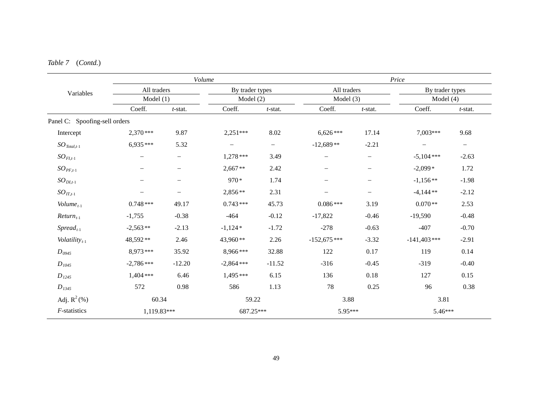| Volume<br>All traders<br>By trader types<br>Variables<br>Model(1)<br>Model (2)<br>Coeff.<br>Coeff.<br>$t$ -stat.<br>$t$ -stat.<br>Panel C: Spoofing-sell orders<br>8.02<br>$2,370***$<br>9.87<br>$2,251***$<br>Intercept<br>$6,935***$<br>5.32<br>$SO_{\text{Total},t-1}$<br>$\overline{\phantom{0}}$<br>$\overline{\phantom{m}}$<br>$SO_{FI,t-1}$<br>$1,278***$<br>3.49<br>$\qquad \qquad -$<br>$2,667**$<br>$SO_{PF,t-1}$<br>2.42<br>—<br>970*<br>1.74<br>$SO_{DI,t-1}$<br>—<br>2,856**<br>2.31<br>$SO_{IT,t-1}$<br>$0.743***$<br>45.73<br>Volume $_{t-1}$<br>$0.748***$<br>49.17<br>$-0.12$<br>$-0.38$<br>$-464$<br>$-1,755$<br>$Return_{t-1}$<br>$-2,563**$<br>$-2.13$<br>$-1,124*$<br>$-1.72$<br>$Spread_{t-1}$<br>Volatility $_{t-1}$<br>48,592**<br>2.46<br>43,960**<br>2.26<br>8,973***<br>8,966***<br>35.92<br>32.88<br>$D_{0945}$<br>$-2,786***$<br>$-2,864$ ***<br>$-12.20$<br>$-11.52$<br>$D_{1045}$<br>$1,404$ ***<br>$1,495***$<br>6.46<br>6.15<br>$D_{1245}$<br>586<br>572<br>0.98<br>1.13<br>$D_{1345}$<br>Adj. $R^2$ (%)<br>60.34<br>59.22<br>$F$ -statistics<br>1,119.83***<br>687.25*** |  |  |  |                                                                                                                                                                                                    |                                                                                                                                                                                                                                                                                                                                                                                                          |  |                          |
|------------------------------------------------------------------------------------------------------------------------------------------------------------------------------------------------------------------------------------------------------------------------------------------------------------------------------------------------------------------------------------------------------------------------------------------------------------------------------------------------------------------------------------------------------------------------------------------------------------------------------------------------------------------------------------------------------------------------------------------------------------------------------------------------------------------------------------------------------------------------------------------------------------------------------------------------------------------------------------------------------------------------------------------------------------------------------------------------------------|--|--|--|----------------------------------------------------------------------------------------------------------------------------------------------------------------------------------------------------|----------------------------------------------------------------------------------------------------------------------------------------------------------------------------------------------------------------------------------------------------------------------------------------------------------------------------------------------------------------------------------------------------------|--|--------------------------|
|                                                                                                                                                                                                                                                                                                                                                                                                                                                                                                                                                                                                                                                                                                                                                                                                                                                                                                                                                                                                                                                                                                            |  |  |  |                                                                                                                                                                                                    | Price<br>All traders<br>Model $(3)$<br>Coeff.<br>$t$ -stat.<br>17.14<br>7,003***<br>$-2.21$<br>$\qquad \qquad -$<br>$-5,104$ ***<br>—<br>$-2,099*$<br>—<br>$-1,156**$<br>—<br>$-4,144**$<br>$\qquad \qquad -$<br>$0.070**$<br>3.19<br>$-0.46$<br>$-19,590$<br>$-0.63$<br>$-407$<br>$-3.32$<br>$-141,403$ ***<br>0.17<br>119<br>$-0.45$<br>$-319$<br>0.18<br>127<br>0.25<br>96<br>3.81<br>3.88<br>5.95*** |  |                          |
|                                                                                                                                                                                                                                                                                                                                                                                                                                                                                                                                                                                                                                                                                                                                                                                                                                                                                                                                                                                                                                                                                                            |  |  |  | By trader types<br>Model $(4)$<br>Coeff.<br>$6,626***$<br>$-12,689**$<br>$\overline{\phantom{m}}$<br>$0.086***$<br>$-17,822$<br>$-278$<br>$-152,675***$<br>122<br>$-316$<br>136<br>78<br>$5.46***$ | $t$ -stat.                                                                                                                                                                                                                                                                                                                                                                                               |  |                          |
|                                                                                                                                                                                                                                                                                                                                                                                                                                                                                                                                                                                                                                                                                                                                                                                                                                                                                                                                                                                                                                                                                                            |  |  |  |                                                                                                                                                                                                    |                                                                                                                                                                                                                                                                                                                                                                                                          |  |                          |
|                                                                                                                                                                                                                                                                                                                                                                                                                                                                                                                                                                                                                                                                                                                                                                                                                                                                                                                                                                                                                                                                                                            |  |  |  |                                                                                                                                                                                                    |                                                                                                                                                                                                                                                                                                                                                                                                          |  | 9.68                     |
|                                                                                                                                                                                                                                                                                                                                                                                                                                                                                                                                                                                                                                                                                                                                                                                                                                                                                                                                                                                                                                                                                                            |  |  |  |                                                                                                                                                                                                    |                                                                                                                                                                                                                                                                                                                                                                                                          |  | $\overline{\phantom{0}}$ |
|                                                                                                                                                                                                                                                                                                                                                                                                                                                                                                                                                                                                                                                                                                                                                                                                                                                                                                                                                                                                                                                                                                            |  |  |  |                                                                                                                                                                                                    |                                                                                                                                                                                                                                                                                                                                                                                                          |  | $-2.63$                  |
|                                                                                                                                                                                                                                                                                                                                                                                                                                                                                                                                                                                                                                                                                                                                                                                                                                                                                                                                                                                                                                                                                                            |  |  |  |                                                                                                                                                                                                    |                                                                                                                                                                                                                                                                                                                                                                                                          |  | 1.72                     |
|                                                                                                                                                                                                                                                                                                                                                                                                                                                                                                                                                                                                                                                                                                                                                                                                                                                                                                                                                                                                                                                                                                            |  |  |  |                                                                                                                                                                                                    |                                                                                                                                                                                                                                                                                                                                                                                                          |  | $-1.98$                  |
|                                                                                                                                                                                                                                                                                                                                                                                                                                                                                                                                                                                                                                                                                                                                                                                                                                                                                                                                                                                                                                                                                                            |  |  |  |                                                                                                                                                                                                    |                                                                                                                                                                                                                                                                                                                                                                                                          |  | $-2.12$                  |
|                                                                                                                                                                                                                                                                                                                                                                                                                                                                                                                                                                                                                                                                                                                                                                                                                                                                                                                                                                                                                                                                                                            |  |  |  |                                                                                                                                                                                                    |                                                                                                                                                                                                                                                                                                                                                                                                          |  | 2.53                     |
|                                                                                                                                                                                                                                                                                                                                                                                                                                                                                                                                                                                                                                                                                                                                                                                                                                                                                                                                                                                                                                                                                                            |  |  |  |                                                                                                                                                                                                    |                                                                                                                                                                                                                                                                                                                                                                                                          |  | $-0.48$                  |
|                                                                                                                                                                                                                                                                                                                                                                                                                                                                                                                                                                                                                                                                                                                                                                                                                                                                                                                                                                                                                                                                                                            |  |  |  |                                                                                                                                                                                                    |                                                                                                                                                                                                                                                                                                                                                                                                          |  | $-0.70$                  |
|                                                                                                                                                                                                                                                                                                                                                                                                                                                                                                                                                                                                                                                                                                                                                                                                                                                                                                                                                                                                                                                                                                            |  |  |  |                                                                                                                                                                                                    |                                                                                                                                                                                                                                                                                                                                                                                                          |  | $-2.91$                  |
|                                                                                                                                                                                                                                                                                                                                                                                                                                                                                                                                                                                                                                                                                                                                                                                                                                                                                                                                                                                                                                                                                                            |  |  |  |                                                                                                                                                                                                    |                                                                                                                                                                                                                                                                                                                                                                                                          |  | 0.14                     |
|                                                                                                                                                                                                                                                                                                                                                                                                                                                                                                                                                                                                                                                                                                                                                                                                                                                                                                                                                                                                                                                                                                            |  |  |  |                                                                                                                                                                                                    |                                                                                                                                                                                                                                                                                                                                                                                                          |  | $-0.40$                  |
|                                                                                                                                                                                                                                                                                                                                                                                                                                                                                                                                                                                                                                                                                                                                                                                                                                                                                                                                                                                                                                                                                                            |  |  |  |                                                                                                                                                                                                    |                                                                                                                                                                                                                                                                                                                                                                                                          |  | 0.15                     |
|                                                                                                                                                                                                                                                                                                                                                                                                                                                                                                                                                                                                                                                                                                                                                                                                                                                                                                                                                                                                                                                                                                            |  |  |  |                                                                                                                                                                                                    |                                                                                                                                                                                                                                                                                                                                                                                                          |  | 0.38                     |
|                                                                                                                                                                                                                                                                                                                                                                                                                                                                                                                                                                                                                                                                                                                                                                                                                                                                                                                                                                                                                                                                                                            |  |  |  |                                                                                                                                                                                                    |                                                                                                                                                                                                                                                                                                                                                                                                          |  |                          |
|                                                                                                                                                                                                                                                                                                                                                                                                                                                                                                                                                                                                                                                                                                                                                                                                                                                                                                                                                                                                                                                                                                            |  |  |  |                                                                                                                                                                                                    |                                                                                                                                                                                                                                                                                                                                                                                                          |  |                          |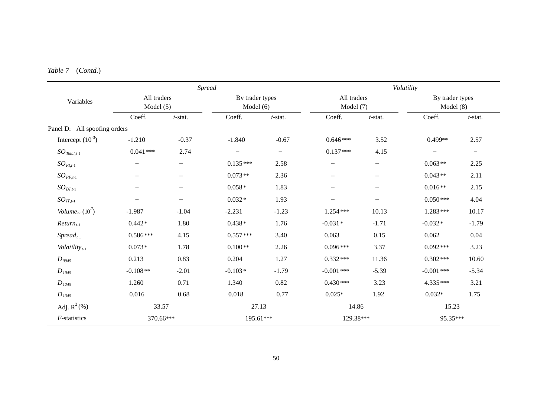|                                       |                                  | Spread                   |                                                                                                                                                                                                                                                                                                                                                                                                                                                                                                                                                                                                                                                                                                                                                                                                                                                                                                                                                                                                                                                                                                                                                            |  |          |  |                          |
|---------------------------------------|----------------------------------|--------------------------|------------------------------------------------------------------------------------------------------------------------------------------------------------------------------------------------------------------------------------------------------------------------------------------------------------------------------------------------------------------------------------------------------------------------------------------------------------------------------------------------------------------------------------------------------------------------------------------------------------------------------------------------------------------------------------------------------------------------------------------------------------------------------------------------------------------------------------------------------------------------------------------------------------------------------------------------------------------------------------------------------------------------------------------------------------------------------------------------------------------------------------------------------------|--|----------|--|--------------------------|
| Variables                             | All traders                      |                          | Volatility<br>All traders<br>By trader types<br>By trader types<br>Model (7)<br>Model $(6)$<br>Coeff.<br>Coeff.<br>Coeff.<br>$t$ -stat.<br>$t$ -stat.<br>$-1.840$<br>$-0.67$<br>$0.646***$<br>3.52<br>$0.499**$<br>$0.137***$<br>4.15<br>$\overline{\phantom{0}}$<br>$\overline{\phantom{m}}$<br>$0.135***$<br>$0.063**$<br>2.58<br>$\overline{\phantom{0}}$<br>$\overline{\phantom{0}}$<br>$0.073**$<br>2.36<br>$0.043**$<br>$\overline{\phantom{0}}$<br>—<br>$0.058*$<br>$0.016**$<br>1.83<br>$\overline{\phantom{0}}$<br>$\qquad \qquad -$<br>$0.050***$<br>$0.032*$<br>1.93<br>$\overline{\phantom{0}}$<br>$\qquad \qquad -$<br>$1.283***$<br>$-2.231$<br>$-1.23$<br>10.13<br>1.254***<br>$0.438*$<br>$-0.031*$<br>$-0.032*$<br>1.76<br>$-1.71$<br>$0.557***$<br>0.063<br>0.15<br>0.062<br>3.40<br>$0.100**$<br>3.37<br>2.26<br>$0.096***$<br>$0.092***$<br>0.204<br>1.27<br>$0.332***$<br>11.36<br>$0.302***$<br>$-0.103*$<br>$-0.001$ ***<br>$-0.001$ ***<br>$-1.79$<br>$-5.39$<br>0.82<br>$0.430***$<br>3.23<br>4.335***<br>1.340<br>$0.032*$<br>0.018<br>0.77<br>$0.025*$<br>1.92<br>27.13<br>14.86<br>15.23<br>129.38***<br>95.35***<br>195.61*** |  |          |  |                          |
|                                       | Model $(5)$                      |                          |                                                                                                                                                                                                                                                                                                                                                                                                                                                                                                                                                                                                                                                                                                                                                                                                                                                                                                                                                                                                                                                                                                                                                            |  | Model(8) |  |                          |
|                                       | Coeff.                           | $t$ -stat.               |                                                                                                                                                                                                                                                                                                                                                                                                                                                                                                                                                                                                                                                                                                                                                                                                                                                                                                                                                                                                                                                                                                                                                            |  |          |  | $t$ -stat.               |
| Panel D: All spoofing orders          |                                  |                          |                                                                                                                                                                                                                                                                                                                                                                                                                                                                                                                                                                                                                                                                                                                                                                                                                                                                                                                                                                                                                                                                                                                                                            |  |          |  |                          |
| Intercept $(10^{-3})$                 | $-1.210$                         | $-0.37$                  |                                                                                                                                                                                                                                                                                                                                                                                                                                                                                                                                                                                                                                                                                                                                                                                                                                                                                                                                                                                                                                                                                                                                                            |  |          |  | 2.57                     |
| $SO_{\textit{Total},t-1}$             | $0.041***$                       | 2.74                     |                                                                                                                                                                                                                                                                                                                                                                                                                                                                                                                                                                                                                                                                                                                                                                                                                                                                                                                                                                                                                                                                                                                                                            |  |          |  | $\overline{\phantom{m}}$ |
| $SO_{FI,t-1}$                         |                                  |                          |                                                                                                                                                                                                                                                                                                                                                                                                                                                                                                                                                                                                                                                                                                                                                                                                                                                                                                                                                                                                                                                                                                                                                            |  |          |  | 2.25                     |
| $SO_{PF,t-1}$                         |                                  |                          |                                                                                                                                                                                                                                                                                                                                                                                                                                                                                                                                                                                                                                                                                                                                                                                                                                                                                                                                                                                                                                                                                                                                                            |  |          |  | 2.11                     |
| $SO_{DI,t-1}$                         | $\overline{\phantom{m}}$         |                          |                                                                                                                                                                                                                                                                                                                                                                                                                                                                                                                                                                                                                                                                                                                                                                                                                                                                                                                                                                                                                                                                                                                                                            |  |          |  | 2.15                     |
| $SO_{IT,t-1}$                         | $\overbrace{\phantom{12322111}}$ | $\overline{\phantom{0}}$ |                                                                                                                                                                                                                                                                                                                                                                                                                                                                                                                                                                                                                                                                                                                                                                                                                                                                                                                                                                                                                                                                                                                                                            |  |          |  | 4.04                     |
| <i>Volume</i> <sub>t-1</sub> $(10^7)$ | $-1.987$                         | $-1.04$                  |                                                                                                                                                                                                                                                                                                                                                                                                                                                                                                                                                                                                                                                                                                                                                                                                                                                                                                                                                                                                                                                                                                                                                            |  |          |  | 10.17                    |
| $Return_{t-1}$                        | $0.442*$                         | 1.80                     |                                                                                                                                                                                                                                                                                                                                                                                                                                                                                                                                                                                                                                                                                                                                                                                                                                                                                                                                                                                                                                                                                                                                                            |  |          |  | $-1.79$                  |
| $Spread_{t-1}$                        | $0.586***$                       | 4.15                     |                                                                                                                                                                                                                                                                                                                                                                                                                                                                                                                                                                                                                                                                                                                                                                                                                                                                                                                                                                                                                                                                                                                                                            |  |          |  | 0.04                     |
| Volatility $_{t-1}$                   | $0.073*$                         | 1.78                     |                                                                                                                                                                                                                                                                                                                                                                                                                                                                                                                                                                                                                                                                                                                                                                                                                                                                                                                                                                                                                                                                                                                                                            |  |          |  | 3.23                     |
| $D_{0945}$                            | 0.213                            | 0.83                     |                                                                                                                                                                                                                                                                                                                                                                                                                                                                                                                                                                                                                                                                                                                                                                                                                                                                                                                                                                                                                                                                                                                                                            |  |          |  | 10.60                    |
| $D_{1045}$                            | $-0.108**$                       | $-2.01$                  |                                                                                                                                                                                                                                                                                                                                                                                                                                                                                                                                                                                                                                                                                                                                                                                                                                                                                                                                                                                                                                                                                                                                                            |  |          |  | $-5.34$                  |
| $D_{1245}$                            | 1.260                            | 0.71                     |                                                                                                                                                                                                                                                                                                                                                                                                                                                                                                                                                                                                                                                                                                                                                                                                                                                                                                                                                                                                                                                                                                                                                            |  |          |  | 3.21                     |
| $D_{1345}$                            | 0.016                            | 0.68                     |                                                                                                                                                                                                                                                                                                                                                                                                                                                                                                                                                                                                                                                                                                                                                                                                                                                                                                                                                                                                                                                                                                                                                            |  |          |  | 1.75                     |
| Adj. $R^2$ (%)                        | 33.57                            |                          |                                                                                                                                                                                                                                                                                                                                                                                                                                                                                                                                                                                                                                                                                                                                                                                                                                                                                                                                                                                                                                                                                                                                                            |  |          |  |                          |
| F-statistics                          | 370.66***                        |                          |                                                                                                                                                                                                                                                                                                                                                                                                                                                                                                                                                                                                                                                                                                                                                                                                                                                                                                                                                                                                                                                                                                                                                            |  |          |  |                          |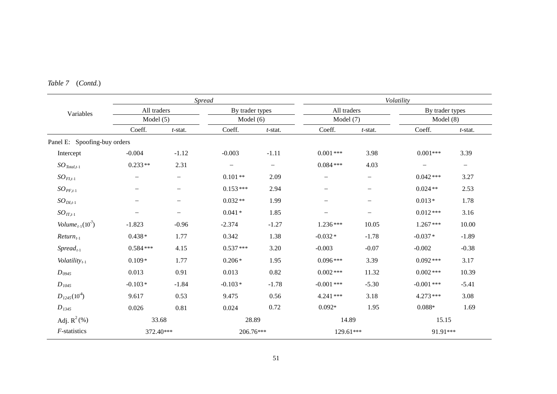| (Cond.)<br>Table 7 |  |
|--------------------|--|
|--------------------|--|

|                                |                          | <b>Spread</b>     |                          |            |                          | Volatility               |                          |                          |  |  |
|--------------------------------|--------------------------|-------------------|--------------------------|------------|--------------------------|--------------------------|--------------------------|--------------------------|--|--|
| Variables                      | All traders              |                   | By trader types          |            | All traders              |                          | By trader types          |                          |  |  |
|                                | Model $(5)$              |                   | Model $(6)$              |            | Model $(7)$              |                          | Model(8)                 |                          |  |  |
|                                | Coeff.                   | $t$ -stat.        | Coeff.                   | $t$ -stat. | Coeff.                   | $t$ -stat.               | Coeff.                   | $t$ -stat.               |  |  |
| Panel E: Spoofing-buy orders   |                          |                   |                          |            |                          |                          |                          |                          |  |  |
| Intercept                      | $-0.004$                 | $-1.12$           | $-0.003$                 | $-1.11$    | $0.001***$               | 3.98                     | $0.001***$               | 3.39                     |  |  |
| $SO_{\text{Total},t-1}$        | $0.233**$                | 2.31              | $\overline{\phantom{0}}$ | $-$        | $0.084***$               | 4.03                     | $\overline{\phantom{0}}$ | $\overline{\phantom{a}}$ |  |  |
| $SO_{FI,t-1}$                  | $\overline{\phantom{0}}$ | —                 | $0.101**$                | 2.09       | —                        |                          | $0.042***$               | 3.27                     |  |  |
| $SO_{PF,t-1}$                  | $\overline{\phantom{0}}$ | —                 | $0.153***$               | 2.94       |                          | $\qquad \qquad -$        | $0.024**$                | 2.53                     |  |  |
| $SO_{DI,t-1}$                  | $\overline{\phantom{0}}$ | -                 | $0.032**$                | 1.99       | $\overline{\phantom{0}}$ | $\overline{\phantom{0}}$ | $0.013*$                 | 1.78                     |  |  |
| $SO_{IT,t-1}$                  | $\overline{\phantom{0}}$ | $\qquad \qquad -$ | $0.041*$                 | 1.85       | —                        | $\overline{\phantom{m}}$ | $0.012***$               | 3.16                     |  |  |
| Volume <sub>t-1</sub> $(10^7)$ | $-1.823$                 | $-0.96$           | $-2.374$                 | $-1.27$    | $1.236***$               | 10.05                    | $1.267***$               | 10.00                    |  |  |
| $Return_{t-1}$                 | $0.438*$                 | 1.77              | 0.342                    | 1.38       | $-0.032*$                | $-1.78$                  | $-0.037*$                | $-1.89$                  |  |  |
| $Spread_{t-1}$                 | $0.584***$               | 4.15              | $0.537***$               | 3.20       | $-0.003$                 | $-0.07$                  | $-0.002$                 | $-0.38$                  |  |  |
| Volatility $t_{t-1}$           | $0.109*$                 | 1.77              | $0.206*$                 | 1.95       | $0.096***$               | 3.39                     | $0.092***$               | 3.17                     |  |  |
| $D_{0945}$                     | 0.013                    | 0.91              | 0.013                    | 0.82       | $0.002$ ***              | 11.32                    | $0.002$ ***              | 10.39                    |  |  |
| $D_{1045}$                     | $-0.103*$                | $-1.84$           | $-0.103*$                | $-1.78$    | $-0.001$ ***             | $-5.30$                  | $-0.001$ ***             | $-5.41$                  |  |  |
| $D_{1245}(10^4)$               | 9.617                    | 0.53              | 9.475                    | 0.56       | 4.241***                 | 3.18                     | $4.273***$               | 3.08                     |  |  |
| $D_{1345}$                     | 0.026                    | 0.81              | 0.024                    | 0.72       | $0.092*$                 | 1.95                     | $0.088*$                 | 1.69                     |  |  |
| Adj. $R^2$ (%)                 | 33.68                    |                   | 28.89                    |            | 14.89                    |                          | 15.15                    |                          |  |  |
| F-statistics                   | 372.40***                |                   | 206.76***                |            | 129.61***                |                          | 91.91***                 |                          |  |  |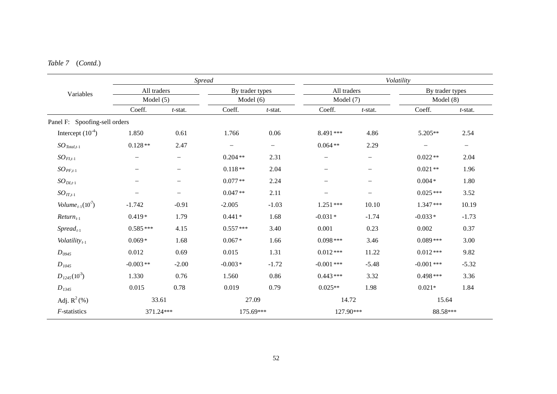|                                 |                                                                                                                                                                                                                    | <b>Spread</b> |                          |                          |              |                          | Volatility               |            |
|---------------------------------|--------------------------------------------------------------------------------------------------------------------------------------------------------------------------------------------------------------------|---------------|--------------------------|--------------------------|--------------|--------------------------|--------------------------|------------|
|                                 | All traders<br>Variables<br>Model $(5)$<br>Coeff.<br>1.850<br>$0.128**$<br>—<br>$\qquad \qquad -$<br>$-1.742$<br>$0.419*$<br>$0.585***$<br>$0.069*$<br>0.012<br>$-0.003**$<br>1.330<br>0.015<br>33.61<br>371.24*** |               | By trader types          |                          | All traders  |                          | By trader types          |            |
|                                 |                                                                                                                                                                                                                    |               | Model $(6)$              |                          | Model $(7)$  |                          | Model(8)                 |            |
|                                 |                                                                                                                                                                                                                    | $t$ -stat.    | Coeff.                   | $t$ -stat.               | Coeff.       | $t$ -stat.               | Coeff.                   | $t$ -stat. |
| Panel F: Spoofing-sell orders   |                                                                                                                                                                                                                    |               |                          |                          |              |                          |                          |            |
| Intercept $(10^{-4})$           |                                                                                                                                                                                                                    | 0.61          | 1.766                    | $0.06\,$                 | 8.491***     | 4.86                     | 5.205**                  | 2.54       |
| $SO_{\text{Total},t-1}$         |                                                                                                                                                                                                                    | 2.47          | $\overline{\phantom{0}}$ | $\overline{\phantom{0}}$ | $0.064**$    | 2.29                     | $\overline{\phantom{m}}$ | $-$        |
| $SO_{FI,t-1}$                   |                                                                                                                                                                                                                    |               | $0.204**$                | 2.31                     |              | $\qquad \qquad -$        | $0.022**$                | 2.04       |
| $SO_{PF,t-1}$                   |                                                                                                                                                                                                                    |               | $0.118**$                | 2.04                     |              | $\overline{\phantom{0}}$ | $0.021**$                | 1.96       |
| $SO_{DI,t-1}$                   |                                                                                                                                                                                                                    |               | $0.077**$                | 2.24                     |              | $\overline{\phantom{0}}$ | $0.004*$                 | 1.80       |
| $SO_{IT,t-1}$                   |                                                                                                                                                                                                                    |               | $0.047**$                | 2.11                     |              | $\overline{\phantom{0}}$ | $0.025***$               | 3.52       |
| Volume <sub>t-1</sub> $(10^7)$  |                                                                                                                                                                                                                    | $-0.91$       | $-2.005$                 | $-1.03$                  | $1.251***$   | 10.10                    | $1.347***$               | 10.19      |
| $Return_{t-1}$                  |                                                                                                                                                                                                                    | 1.79          | $0.441*$                 | 1.68                     | $-0.031*$    | $-1.74$                  | $-0.033*$                | $-1.73$    |
| $S$ <i>pread</i> <sub>t-1</sub> |                                                                                                                                                                                                                    | 4.15          | $0.557***$               | 3.40                     | 0.001        | 0.23                     | 0.002                    | 0.37       |
| Volatility $t_{t-1}$            |                                                                                                                                                                                                                    | 1.68          | $0.067*$                 | 1.66                     | $0.098***$   | 3.46                     | $0.089***$               | 3.00       |
| $D_{0945}$                      |                                                                                                                                                                                                                    | 0.69          | 0.015                    | 1.31                     | $0.012***$   | 11.22                    | $0.012***$               | 9.82       |
| $D_{1045}$                      |                                                                                                                                                                                                                    | $-2.00$       | $-0.003*$                | $-1.72$                  | $-0.001$ *** | $-5.48$                  | $-0.001$ ***             | $-5.32$    |
| $D_{1245}(10^3)$                |                                                                                                                                                                                                                    | 0.76          | 1.560                    | 0.86                     | $0.443***$   | 3.32                     | $0.498***$               | 3.36       |
| $D_{1345}$                      |                                                                                                                                                                                                                    | 0.78          | 0.019                    | 0.79                     | $0.025**$    | 1.98                     | $0.021*$                 | 1.84       |
| Adj. $R^2$ (%)                  |                                                                                                                                                                                                                    |               | 27.09                    |                          | 14.72        |                          | 15.64                    |            |
| F-statistics                    |                                                                                                                                                                                                                    |               | 175.69***                |                          | 127.90***    |                          | 88.58***                 |            |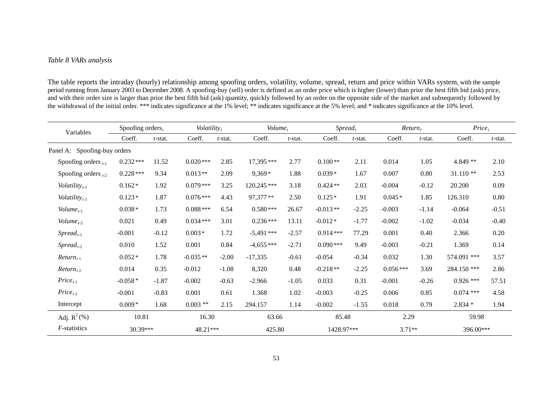#### *Table 8 VARs analysis*

The table reports the intraday (hourly) relationship among spoofing orders, volatility, volume, spread, return and price within VARs system, with the sample period running from January 2003 to December 2008. A spoofing-buy (sell) order is defined as an order price which is higher (lower) than prior the best fifth bid (ask) price, and with their order size is larger than prior the best fifth bid (ask) quantity, quickly followed by an order on the opposite side of the market and subsequently followed by the withdrawal of the initial order. \*\*\* indicates significance at the 1% level; \*\* indicates significance at the 5% level; and \* indicates significance at the 10% level.

| Variables                                    | Spoofing orders $t$<br>Coeff.<br>$t$ -stat. |         | Volatility, |            | $Volume_t$  |         | $S$ <i>pread</i> <sub>t</sub> |            | $Return_t$ |            | Price <sub>t</sub> |         |  |
|----------------------------------------------|---------------------------------------------|---------|-------------|------------|-------------|---------|-------------------------------|------------|------------|------------|--------------------|---------|--|
|                                              |                                             |         | Coeff.      | $t$ -stat. | Coeff.      | t-stat. | Coeff.                        | $t$ -stat. | Coeff.     | $t$ -stat. | Coeff.             | t-stat. |  |
| Panel A: Spoofing-buy orders                 |                                             |         |             |            |             |         |                               |            |            |            |                    |         |  |
| Spoofing orders $_{t-1}$                     | $0.232***$                                  | 11.52   | $0.020***$  | 2.85       | 17,395***   | 2.77    | $0.100**$                     | 2.11       | 0.014      | 1.05       | 4.849 **           | 2.10    |  |
| Spoofing orders $_{t-2}$                     | $0.228***$                                  | 9.34    | $0.013**$   | 2.09       | $9,369*$    | 1.88    | $0.039*$                      | 1.67       | 0.007      | 0.80       | $31.110**$         | 2.53    |  |
| Volatility $t_{t-1}$                         | $0.162*$                                    | 1.92    | $0.079***$  | 3.25       | 120,245***  | 3.18    | $0.424**$                     | 2.03       | $-0.004$   | $-0.12$    | 20.200             | 0.09    |  |
| Volatility $_{t-2}$                          | $0.123*$                                    | 1.87    | $0.076***$  | 4.43       | 97,377**    | 2.50    | $0.125*$                      | 1.91       | $0.045*$   | 1.85       | 126.310            | 0.80    |  |
| Volume <sub>t-1</sub>                        | $0.038*$                                    | 1.73    | $0.088***$  | 6.54       | $0.580***$  | 26.67   | $-0.013**$                    | $-2.25$    | $-0.003$   | $-1.14$    | $-0.064$           | $-0.51$ |  |
| Volume <sub>t-2</sub>                        | 0.021                                       | 0.49    | $0.034***$  | 3.01       | $0.236***$  | 13.11   | $-0.012*$                     | $-1.77$    | $-0.002$   | $-1.02$    | $-0.034$           | $-0.40$ |  |
| $S$ <i>pread</i> <sub><math>t-1</math></sub> | $-0.001$                                    | $-0.12$ | $0.003*$    | 1.72       | $-5,491***$ | $-2.57$ | $0.914***$                    | 77.29      | 0.001      | 0.40       | 2.366              | 0.20    |  |
| $S$ <i>pread</i> <sub>t-2</sub>              | 0.010                                       | 1.52    | 0.001       | 0.84       | $-4,655***$ | $-2.71$ | $0.090***$                    | 9.49       | $-0.003$   | $-0.21$    | 1.369              | 0.14    |  |
| $Return_{t-1}$                               | $0.052*$                                    | 1.78    | $-0.035**$  | $-2.00$    | $-17,335$   | $-0.61$ | $-0.054$                      | $-0.34$    | 0.032      | 1.30       | 574.091 ***        | 3.57    |  |
| $Return_{t-2}$                               | 0.014                                       | 0.35    | $-0.012$    | $-1.08$    | 8,320       | 0.48    | $-0.218**$                    | $-2.25$    | $0.056***$ | 3.69       | 284.150 ***        | 2.86    |  |
| $Price_{t-1}$                                | $-0.058*$                                   | $-1.87$ | $-0.002$    | $-0.63$    | $-2.966$    | $-1.05$ | 0.033                         | 0.31       | $-0.001$   | $-0.26$    | $0.926$ ***        | 57.51   |  |
| $Price_{t-2}$                                | $-0.001$                                    | $-0.83$ | 0.001       | 0.61       | 1.368       | 1.02    | $-0.003$                      | $-0.25$    | 0.006      | 0.85       | $0.074$ ***        | 4.58    |  |
| Intercept                                    | $0.009*$                                    | 1.68    | $0.003$ **  | 2.15       | 294.157     | 1.14    | $-0.002$                      | $-1.55$    | 0.018      | 0.79       | $2.834*$           | 1.94    |  |
| Adj. $R^2$ (%)                               | 10.81                                       |         | 16.30       |            | 63.66       |         | 85.48                         |            | 2.29       |            | 59.98              |         |  |
| $F$ -statistics                              | 30.39***                                    |         | 48.21***    |            | 425.80      |         | 1428.97***                    |            | $3.71**$   |            | 396.00***          |         |  |